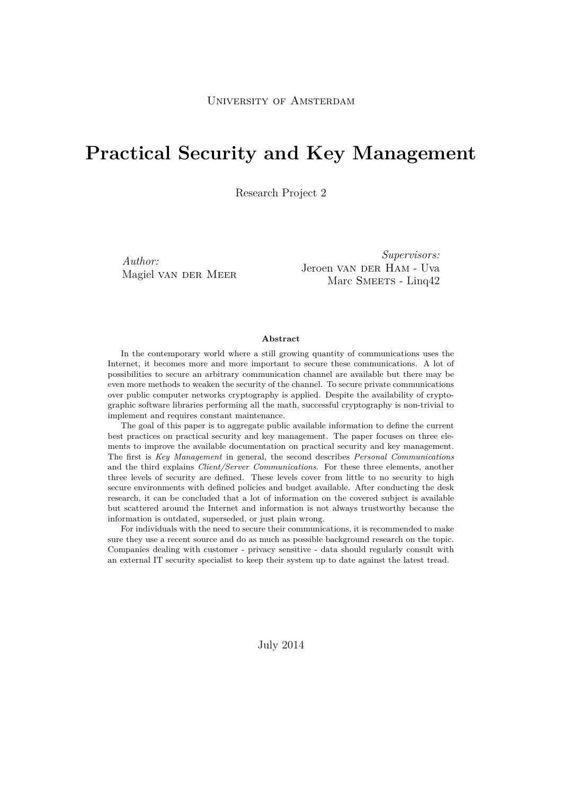# **Practical Security and Key Management**

Research Project 2

*Author:* Magiel van der Meer

*Supervisors:* Jeroen van DER Ham - Uva Marc SMEETS - Linq42

#### **Abstract**

In the contemporary world where a still growing quantity of communications uses the Internet, it becomes more and more important to secure these communications. A lot of possibilities to secure an arbitrary communication channel are available but there may be even more methods to weaken the security of the channel. To secure private communications over public computer networks cryptography is applied. Despite the availability of cryptographic software libraries performing all the math, successful cryptography is non-trivial to implement and requires constant maintenance.

The goal of this paper is to aggregate public available information to define the current best practices on practical security and key management. The paper focuses on three elements to improve the available documentation on practical security and key management. The first is *Key Management* in general, the second describes *Personal Communications* and the third explains *Client/Server Communications*. For these three elements, another three levels of security are defined. These levels cover from little to no security to high secure environments with defined policies and budget available. After conducting the desk research, it can be concluded that a lot of information on the covered subject is available but scattered around the Internet and information is not always trustworthy because the information is outdated, superseded, or just plain wrong.

For individuals with the need to secure their communications, it is recommended to make sure they use a recent source and do as much as possible background research on the topic. Companies dealing with customer - privacy sensitive - data should regularly consult with an external IT security specialist to keep their system up to date against the latest tread.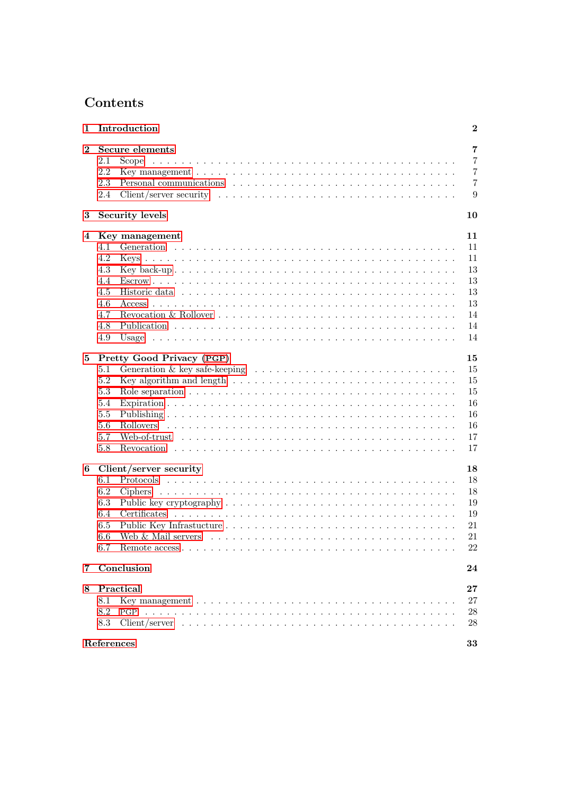# **Contents**

| 1              |            | Introduction                                                                                                                                                                                                                   | $\bf{2}$       |
|----------------|------------|--------------------------------------------------------------------------------------------------------------------------------------------------------------------------------------------------------------------------------|----------------|
| $\bf{2}$       |            | Secure elements                                                                                                                                                                                                                | $\overline{7}$ |
|                | 2.1        |                                                                                                                                                                                                                                | $\overline{7}$ |
|                | 2.2        |                                                                                                                                                                                                                                | $\overline{7}$ |
|                | 2.3        | Personal communications (experience of the set of the set of the set of the set of the set of the set of the set of the set of the set of the set of the set of the set of the set of the set of the set of the set of the set | $\overline{7}$ |
|                | 2.4        |                                                                                                                                                                                                                                | 9              |
| 3              |            | <b>Security levels</b>                                                                                                                                                                                                         | 10             |
| 4              |            | Key management                                                                                                                                                                                                                 | 11             |
|                | 4.1        |                                                                                                                                                                                                                                | 11             |
|                | 4.2        |                                                                                                                                                                                                                                | 11             |
|                | 4.3        |                                                                                                                                                                                                                                | 13             |
|                | 4.4        |                                                                                                                                                                                                                                | 13             |
|                | 4.5        |                                                                                                                                                                                                                                | 13             |
|                | 4.6        |                                                                                                                                                                                                                                | 13             |
|                | 4.7        |                                                                                                                                                                                                                                | 14             |
|                | 4.8        |                                                                                                                                                                                                                                | 14             |
|                | 4.9        |                                                                                                                                                                                                                                | 14             |
| 5              |            | Pretty Good Privacy (PGP)                                                                                                                                                                                                      | 15             |
|                | 5.1        | Generation & key safe-keeping $\dots \dots \dots \dots \dots \dots \dots \dots \dots \dots \dots \dots$                                                                                                                        | 15             |
|                | 5.2        | Key algorithm and length $\dots \dots \dots \dots \dots \dots \dots \dots \dots \dots \dots \dots \dots$                                                                                                                       | 15             |
|                | 5.3        |                                                                                                                                                                                                                                | 15             |
|                | 5.4        |                                                                                                                                                                                                                                | 16             |
|                | 5.5        |                                                                                                                                                                                                                                | 16             |
|                | 5.6        |                                                                                                                                                                                                                                | 16             |
|                | 5.7        |                                                                                                                                                                                                                                | 17             |
|                | 5.8        |                                                                                                                                                                                                                                | 17             |
|                |            |                                                                                                                                                                                                                                |                |
| 6              |            | Client/server security                                                                                                                                                                                                         | 18             |
|                | 6.1        |                                                                                                                                                                                                                                | 18             |
|                | 6.2        |                                                                                                                                                                                                                                | 18             |
|                | 6.3        |                                                                                                                                                                                                                                | 19             |
|                | 6.4        |                                                                                                                                                                                                                                | 19             |
|                | 6.5        |                                                                                                                                                                                                                                | 21             |
|                | 6.6        |                                                                                                                                                                                                                                | 21             |
|                | 6.7        |                                                                                                                                                                                                                                | $22\,$         |
| $\overline{7}$ |            | Conclusion                                                                                                                                                                                                                     | 24             |
| 8              |            | Practical                                                                                                                                                                                                                      | 27             |
|                | 8.1        |                                                                                                                                                                                                                                | 27             |
|                | 8.2        | PGP                                                                                                                                                                                                                            | 28             |
|                | 8.3        |                                                                                                                                                                                                                                | 28             |
|                | References |                                                                                                                                                                                                                                | 33             |
|                |            |                                                                                                                                                                                                                                |                |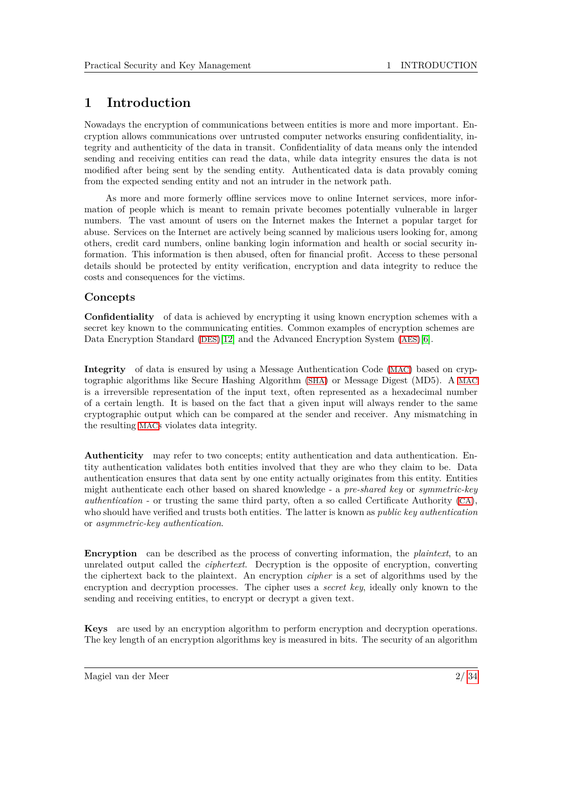# <span id="page-2-0"></span>**1 Introduction**

Nowadays the encryption of communications between entities is more and more important. Encryption allows communications over untrusted computer networks ensuring confidentiality, integrity and authenticity of the data in transit. Confidentiality of data means only the intended sending and receiving entities can read the data, while data integrity ensures the data is not modified after being sent by the sending entity. Authenticated data is data provably coming from the expected sending entity and not an intruder in the network path.

As more and more formerly offline services move to online Internet services, more information of people which is meant to remain private becomes potentially vulnerable in larger numbers. The vast amount of users on the Internet makes the Internet a popular target for abuse. Services on the Internet are actively being scanned by malicious users looking for, among others, credit card numbers, online banking login information and health or social security information. This information is then abused, often for financial profit. Access to these personal details should be protected by entity verification, encryption and data integrity to reduce the costs and consequences for the victims.

#### **Concepts**

**Confidentiality** of data is achieved by encrypting it using known encryption schemes with a secret key known to the communicating entities. Common examples of encryption schemes are Data Encryption Standard ([DES](#page-6-1))[\[12\]](#page-33-0) and the Advanced Encryption System ([AES](#page-6-2))[\[6\]](#page-33-1).

**Integrity** of data is ensured by using a Message Authentication Code ([MAC](#page-6-3)) based on cryptographic algorithms like Secure Hashing Algorithm ([SHA](#page-6-4)) or Message Digest (MD5). A [MAC](#page-6-3) is a irreversible representation of the input text, often represented as a hexadecimal number of a certain length. It is based on the fact that a given input will always render to the same cryptographic output which can be compared at the sender and receiver. Any mismatching in the resulting [MAC](#page-6-3)s violates data integrity.

**Authenticity** may refer to two concepts; entity authentication and data authentication. Entity authentication validates both entities involved that they are who they claim to be. Data authentication ensures that data sent by one entity actually originates from this entity. Entities might authenticate each other based on shared knowledge - a *pre-shared key* or *symmetric-key authentication* - or trusting the same third party, often a so called Certificate Authority ([CA](#page-6-5)), who should have verified and trusts both entities. The latter is known as *public key authentication* or *asymmetric-key authentication*.

**Encryption** can be described as the process of converting information, the *plaintext*, to an unrelated output called the *ciphertext*. Decryption is the opposite of encryption, converting the ciphertext back to the plaintext. An encryption *cipher* is a set of algorithms used by the encryption and decryption processes. The cipher uses a *secret key*, ideally only known to the sending and receiving entities, to encrypt or decrypt a given text.

**Keys** are used by an encryption algorithm to perform encryption and decryption operations. The key length of an encryption algorithms key is measured in bits. The security of an algorithm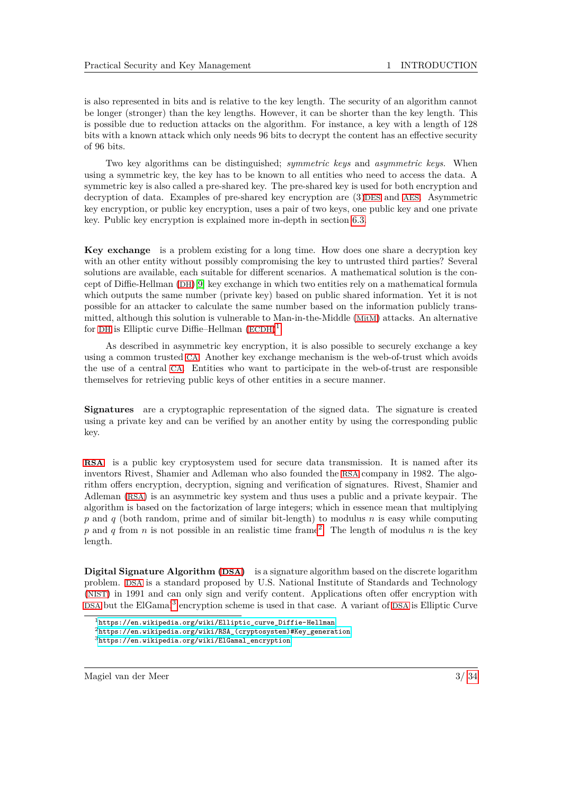is also represented in bits and is relative to the key length. The security of an algorithm cannot be longer (stronger) than the key lengths. However, it can be shorter than the key length. This is possible due to reduction attacks on the algorithm. For instance, a key with a length of 128 bits with a known attack which only needs 96 bits to decrypt the content has an effective security of 96 bits.

Two key algorithms can be distinguished; *symmetric keys* and *asymmetric keys*. When using a symmetric key, the key has to be known to all entities who need to access the data. A symmetric key is also called a pre-shared key. The pre-shared key is used for both encryption and decryption of data. Examples of pre-shared key encryption are (3)[DES](#page-6-1) and [AES](#page-6-2). Asymmetric key encryption, or public key encryption, uses a pair of two keys, one public key and one private key. Public key encryption is explained more in-depth in section [6.3.](#page-19-0)

**Key exchange** is a problem existing for a long time. How does one share a decryption key with an other entity without possibly compromising the key to untrusted third parties? Several solutions are available, each suitable for different scenarios. A mathematical solution is the concept of Diffie-Hellman ([DH](#page-6-6))[\[9\]](#page-33-2) key exchange in which two entities rely on a mathematical formula which outputs the same number (private key) based on public shared information. Yet it is not possible for an attacker to calculate the same number based on the information publicly transmitted, although this solution is vulnerable to Man-in-the-Middle ([MitM](#page-6-7)) attacks. An alternative for [DH](#page-6-6) is Elliptic curve Diffie–Hellman  $(ECDH)^1$  $(ECDH)^1$  $(ECDH)^1$  $(ECDH)^1$ .

As described in asymmetric key encryption, it is also possible to securely exchange a key using a common trusted [CA](#page-6-5). Another key exchange mechanism is the web-of-trust which avoids the use of a central [CA](#page-6-5). Entities who want to participate in the web-of-trust are responsible themselves for retrieving public keys of other entities in a secure manner.

**Signatures** are a cryptographic representation of the signed data. The signature is created using a private key and can be verified by an another entity by using the corresponding public key.

**[RSA](#page-6-9)** is a public key cryptosystem used for secure data transmission. It is named after its inventors Rivest, Shamier and Adleman who also founded the [RSA](#page-6-9) company in 1982. The algorithm offers encryption, decryption, signing and verification of signatures. Rivest, Shamier and Adleman ([RSA](#page-6-9)) is an asymmetric key system and thus uses a public and a private keypair. The algorithm is based on the factorization of large integers; which in essence mean that multiplying *p* and *q* (both random, prime and of similar bit-length) to modulus *n* is easy while computing p and q from n is not possible in an realistic time frame<sup>[2](#page-3-1)</sup>. The length of modulus n is the key length.

**Digital Signature Algorithm ([DSA](#page-6-10))** is a signature algorithm based on the discrete logarithm problem. [DSA](#page-6-10) is a standard proposed by U.S. National Institute of Standards and Technology ([NIST](#page-6-11)) in 1991 and can only sign and verify content. Applications often offer encryption with [DSA](#page-6-10) but the ElGamal<sup>[3](#page-3-2)</sup> encryption scheme is used in that case. A variant of DSA is Elliptic Curve

Magiel van der Meer 3/ [34](#page-34-0)

<span id="page-3-0"></span> $1$ [https://en.wikipedia.org/wiki/Elliptic\\_curve\\_Diffie-Hellman](https://en.wikipedia.org/wiki/Elliptic_curve_Diffie-Hellman)

<span id="page-3-1"></span><sup>2</sup>[https://en.wikipedia.org/wiki/RSA\\_\(cryptosystem\)#Key\\_generation](https://en.wikipedia.org/wiki/RSA_(cryptosystem)#Key_generation)

<span id="page-3-2"></span><sup>3</sup>[https://en.wikipedia.org/wiki/ElGamal\\_encryption](https://en.wikipedia.org/wiki/ElGamal_encryption)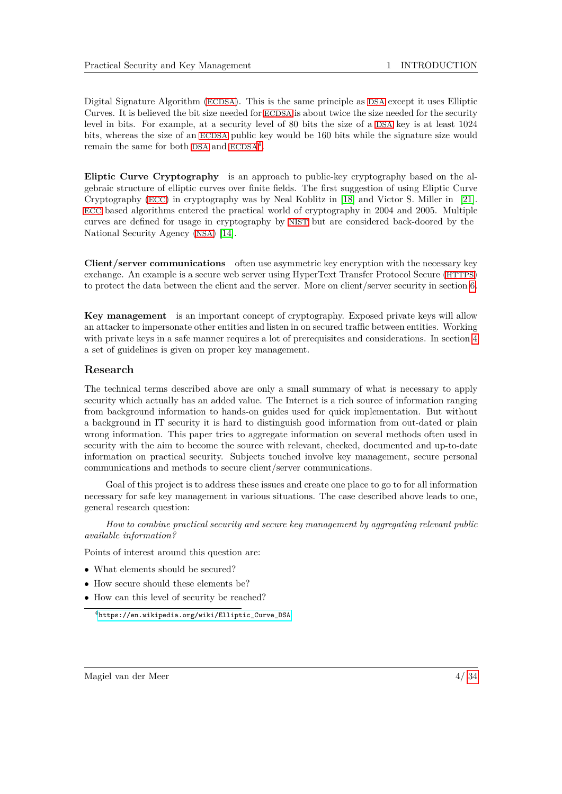Digital Signature Algorithm ([ECDSA](#page-6-12)). This is the same principle as [DSA](#page-6-10) except it uses Elliptic Curves. It is believed the bit size needed for [ECDSA](#page-6-12) is about twice the size needed for the security level in bits. For example, at a security level of 80 bits the size of a [DSA](#page-6-10) key is at least 1024 bits, whereas the size of an [ECDSA](#page-6-12) public key would be 160 bits while the signature size would remain the same for both [DSA](#page-6-10) and  $ECDSA<sup>4</sup>$  $ECDSA<sup>4</sup>$  $ECDSA<sup>4</sup>$  $ECDSA<sup>4</sup>$ .

<span id="page-4-1"></span>**Eliptic Curve Cryptography** is an approach to public-key cryptography based on the algebraic structure of elliptic curves over finite fields. The first suggestion of using Eliptic Curve Cryptography ([ECC](#page-6-13)) in cryptography was by Neal Koblitz in [\[18\]](#page-33-3) and Victor S. Miller in [\[21\]](#page-33-4). [ECC](#page-6-13) based algorithms entered the practical world of cryptography in 2004 and 2005. Multiple curves are defined for usage in cryptography by [NIST](#page-6-11) but are considered back-doored by the National Security Agency ([NSA](#page-6-14)) [\[14\]](#page-33-5).

**Client/server communications** often use asymmetric key encryption with the necessary key exchange. An example is a secure web server using HyperText Transfer Protocol Secure ([HTTPS](#page-6-15)) to protect the data between the client and the server. More on client/server security in section [6.](#page-18-0)

**Key management** is an important concept of cryptography. Exposed private keys will allow an attacker to impersonate other entities and listen in on secured traffic between entities. Working with private keys in a safe manner requires a lot of prerequisites and considerations. In section [4](#page-11-0) a set of guidelines is given on proper key management.

#### **Research**

The technical terms described above are only a small summary of what is necessary to apply security which actually has an added value. The Internet is a rich source of information ranging from background information to hands-on guides used for quick implementation. But without a background in IT security it is hard to distinguish good information from out-dated or plain wrong information. This paper tries to aggregate information on several methods often used in security with the aim to become the source with relevant, checked, documented and up-to-date information on practical security. Subjects touched involve key management, secure personal communications and methods to secure client/server communications.

Goal of this project is to address these issues and create one place to go to for all information necessary for safe key management in various situations. The case described above leads to one, general research question:

*How to combine practical security and secure key management by aggregating relevant public available information?*

Points of interest around this question are:

- What elements should be secured?
- How secure should these elements be?
- How can this level of security be reached?

<span id="page-4-0"></span><sup>4</sup>[https://en.wikipedia.org/wiki/Elliptic\\_Curve\\_DSA](https://en.wikipedia.org/wiki/Elliptic_Curve_DSA)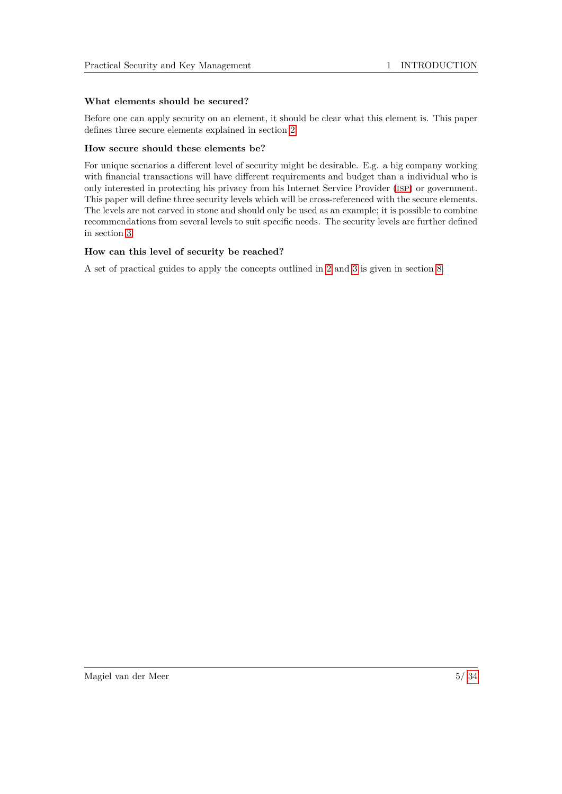#### **What elements should be secured?**

Before one can apply security on an element, it should be clear what this element is. This paper defines three secure elements explained in section [2.](#page-7-0)

#### **How secure should these elements be?**

For unique scenarios a different level of security might be desirable. E.g. a big company working with financial transactions will have different requirements and budget than a individual who is only interested in protecting his privacy from his Internet Service Provider ([ISP](#page-6-16)) or government. This paper will define three security levels which will be cross-referenced with the secure elements. The levels are not carved in stone and should only be used as an example; it is possible to combine recommendations from several levels to suit specific needs. The security levels are further defined in section [3.](#page-10-0)

#### **How can this level of security be reached?**

A set of practical guides to apply the concepts outlined in [2](#page-7-0) and [3](#page-10-0) is given in section [8.](#page-27-0)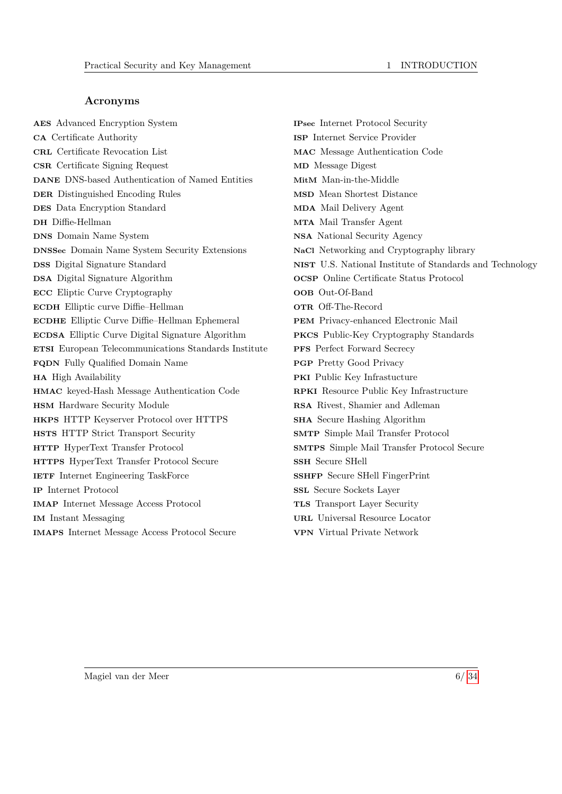#### **Acronyms**

<span id="page-6-69"></span><span id="page-6-57"></span><span id="page-6-55"></span><span id="page-6-52"></span><span id="page-6-50"></span><span id="page-6-49"></span><span id="page-6-48"></span><span id="page-6-47"></span><span id="page-6-45"></span><span id="page-6-44"></span><span id="page-6-42"></span><span id="page-6-41"></span><span id="page-6-38"></span><span id="page-6-35"></span><span id="page-6-31"></span><span id="page-6-29"></span><span id="page-6-27"></span><span id="page-6-23"></span><span id="page-6-20"></span><span id="page-6-18"></span><span id="page-6-17"></span><span id="page-6-15"></span><span id="page-6-13"></span><span id="page-6-12"></span><span id="page-6-10"></span><span id="page-6-8"></span><span id="page-6-6"></span><span id="page-6-5"></span><span id="page-6-2"></span><span id="page-6-1"></span>**AES** Advanced Encryption System **CA** Certificate Authority **CRL** Certificate Revocation List **CSR** Certificate Signing Request **DANE** DNS-based Authentication of Named Entities **DER** Distinguished Encoding Rules **DES** Data Encryption Standard **DH** Diffie-Hellman **DNS** Domain Name System **DNSSec** Domain Name System Security Extensions **DSS** Digital Signature Standard **DSA** Digital Signature Algorithm **ECC** Eliptic Curve Cryptography **ECDH** Elliptic curve Diffie–Hellman **ECDHE** Elliptic Curve Diffie–Hellman Ephemeral **ECDSA** Elliptic Curve Digital Signature Algorithm **ETSI** European Telecommunications Standards Institute **FQDN** Fully Qualified Domain Name **HA** High Availability **HMAC** keyed-Hash Message Authentication Code **HSM** Hardware Security Module **HKPS** HTTP Keyserver Protocol over HTTPS **HSTS** HTTP Strict Transport Security **HTTP** HyperText Transfer Protocol **HTTPS** HyperText Transfer Protocol Secure **IETF** Internet Engineering TaskForce **IP** Internet Protocol **IMAP** Internet Message Access Protocol **IM** Instant Messaging **IMAPS** Internet Message Access Protocol Secure

<span id="page-6-68"></span><span id="page-6-67"></span><span id="page-6-66"></span><span id="page-6-65"></span><span id="page-6-64"></span><span id="page-6-63"></span><span id="page-6-62"></span><span id="page-6-61"></span><span id="page-6-60"></span><span id="page-6-59"></span><span id="page-6-58"></span><span id="page-6-56"></span><span id="page-6-54"></span><span id="page-6-53"></span><span id="page-6-51"></span><span id="page-6-46"></span><span id="page-6-43"></span><span id="page-6-40"></span><span id="page-6-39"></span><span id="page-6-37"></span><span id="page-6-36"></span><span id="page-6-34"></span><span id="page-6-33"></span><span id="page-6-32"></span><span id="page-6-30"></span><span id="page-6-28"></span><span id="page-6-26"></span><span id="page-6-25"></span><span id="page-6-24"></span><span id="page-6-22"></span><span id="page-6-21"></span><span id="page-6-19"></span><span id="page-6-16"></span><span id="page-6-14"></span><span id="page-6-11"></span><span id="page-6-9"></span><span id="page-6-7"></span><span id="page-6-4"></span><span id="page-6-3"></span><span id="page-6-0"></span>**IPsec** Internet Protocol Security **ISP** Internet Service Provider **MAC** Message Authentication Code **MD** Message Digest **MitM** Man-in-the-Middle **MSD** Mean Shortest Distance **MDA** Mail Delivery Agent **MTA** Mail Transfer Agent **NSA** National Security Agency **NaCl** Networking and Cryptography library **NIST** U.S. National Institute of Standards and Technology **OCSP** Online Certificate Status Protocol **OOB** Out-Of-Band **OTR** Off-The-Record **PEM** Privacy-enhanced Electronic Mail **PKCS** Public-Key Cryptography Standards **PFS** Perfect Forward Secrecy **PGP** Pretty Good Privacy **PKI** Public Key Infrastucture **RPKI** Resource Public Key Infrastructure **RSA** Rivest, Shamier and Adleman **SHA** Secure Hashing Algorithm **SMTP** Simple Mail Transfer Protocol **SMTPS** Simple Mail Transfer Protocol Secure **SSH** Secure SHell **SSHFP** Secure SHell FingerPrint **SSL** Secure Sockets Layer **TLS** Transport Layer Security **URL** Universal Resource Locator **VPN** Virtual Private Network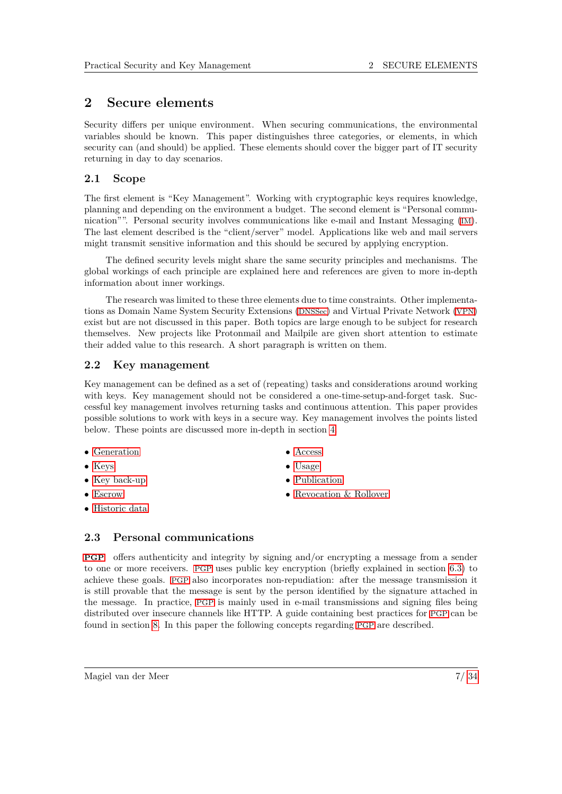# <span id="page-7-0"></span>**2 Secure elements**

Security differs per unique environment. When securing communications, the environmental variables should be known. This paper distinguishes three categories, or elements, in which security can (and should) be applied. These elements should cover the bigger part of IT security returning in day to day scenarios.

## <span id="page-7-1"></span>**2.1 Scope**

The first element is "Key Management". Working with cryptographic keys requires knowledge, planning and depending on the environment a budget. The second element is "Personal communication"". Personal security involves communications like e-mail and Instant Messaging ([IM](#page-6-17)). The last element described is the "client/server" model. Applications like web and mail servers might transmit sensitive information and this should be secured by applying encryption.

The defined security levels might share the same security principles and mechanisms. The global workings of each principle are explained here and references are given to more in-depth information about inner workings.

The research was limited to these three elements due to time constraints. Other implementations as Domain Name System Security Extensions ([DNSSec](#page-6-18)) and Virtual Private Network ([VPN](#page-6-19)) exist but are not discussed in this paper. Both topics are large enough to be subject for research themselves. New projects like Protonmail and Mailpile are given short attention to estimate their added value to this research. A short paragraph is written on them.

#### <span id="page-7-2"></span>**2.2 Key management**

Key management can be defined as a set of (repeating) tasks and considerations around working with keys. Key management should not be considered a one-time-setup-and-forget task. Successful key management involves returning tasks and continuous attention. This paper provides possible solutions to work with keys in a secure way. Key management involves the points listed below. These points are discussed more in-depth in section [4.](#page-11-0)

- [Generation](#page-11-1)
- [Keys](#page-11-2)
- [Key back-up](#page-13-0)
- [Escrow](#page-13-1)
- [Historic data](#page-13-2)
- [Access](#page-13-3)
- [Usage](#page-14-2)
- [Publication](#page-14-1)
- [Revocation & Rollover](#page-14-0)

## <span id="page-7-3"></span>**2.3 Personal communications**

**[PGP](#page-6-0)** offers authenticity and integrity by signing and/or encrypting a message from a sender to one or more receivers. [PGP](#page-6-0) uses public key encryption (briefly explained in section [6.3\)](#page-19-0) to achieve these goals. [PGP](#page-6-0) also incorporates non-repudiation: after the message transmission it is still provable that the message is sent by the person identified by the signature attached in the message. In practice, [PGP](#page-6-0) is mainly used in e-mail transmissions and signing files being distributed over insecure channels like HTTP. A guide containing best practices for [PGP](#page-6-0) can be found in section [8.](#page-27-0) In this paper the following concepts regarding [PGP](#page-6-0) are described.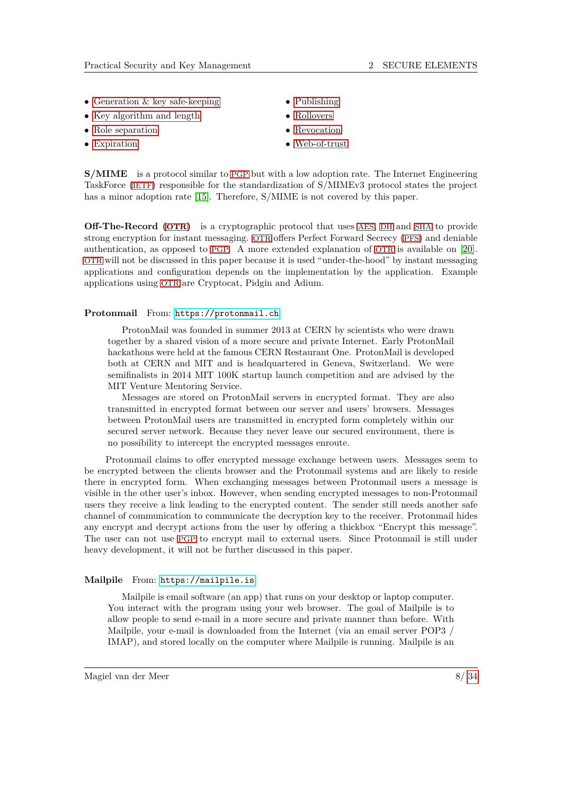- [Generation & key safe-keeping](#page-15-1)
- [Key algorithm and length](#page-15-2)
- [Role separation](#page-15-3)
- [Expiration](#page-16-0)
- [Publishing](#page-16-1)
- [Rollovers](#page-16-2)
- [Revocation](#page-17-1)
- [Web-of-trust](#page-17-0)

**S/MIME** is a protocol similar to [PGP](#page-6-0) but with a low adoption rate. The Internet Engineering TaskForce ([IETF](#page-6-20)) responsible for the standardization of S/MIMEv3 protocol states the project has a minor adoption rate [\[15\]](#page-33-6). Therefore, S/MIME is not covered by this paper.

**Off-The-Record ([OTR](#page-6-21))** is a cryptographic protocol that uses [AES](#page-6-2), [DH](#page-6-6) and [SHA](#page-6-4) to provide strong encryption for instant messaging. [OTR](#page-6-21) offers Perfect Forward Secrecy ([PFS](#page-6-22)) and deniable authentication, as opposed to [PGP](#page-6-0). A more extended explanation of [OTR](#page-6-21) is available on [\[20\]](#page-33-7). [OTR](#page-6-21) will not be discussed in this paper because it is used "under-the-hood" by instant messaging applications and configuration depends on the implementation by the application. Example applications using [OTR](#page-6-21) are Cryptocat, Pidgin and Adium.

#### **Protonmail** From: <https://protonmail.ch>

ProtonMail was founded in summer 2013 at CERN by scientists who were drawn together by a shared vision of a more secure and private Internet. Early ProtonMail hackathons were held at the famous CERN Restaurant One. ProtonMail is developed both at CERN and MIT and is headquartered in Geneva, Switzerland. We were semifinalists in 2014 MIT 100K startup launch competition and are advised by the MIT Venture Mentoring Service.

Messages are stored on ProtonMail servers in encrypted format. They are also transmitted in encrypted format between our server and users' browsers. Messages between ProtonMail users are transmitted in encrypted form completely within our secured server network. Because they never leave our secured environment, there is no possibility to intercept the encrypted messages enroute.

Protonmail claims to offer encrypted message exchange between users. Messages seem to be encrypted between the clients browser and the Protonmail systems and are likely to reside there in encrypted form. When exchanging messages between Protonmail users a message is visible in the other user's inbox. However, when sending encrypted messages to non-Protonmail users they receive a link leading to the encrypted content. The sender still needs another safe channel of communication to communicate the decryption key to the receiver. Protonmail hides any encrypt and decrypt actions from the user by offering a thickbox "Encrypt this message". The user can not use [PGP](#page-6-0) to encrypt mail to external users. Since Protonmail is still under heavy development, it will not be further discussed in this paper.

#### **Mailpile** From: <https://mailpile.is>

Mailpile is email software (an app) that runs on your desktop or laptop computer. You interact with the program using your web browser. The goal of Mailpile is to allow people to send e-mail in a more secure and private manner than before. With Mailpile, your e-mail is downloaded from the Internet (via an email server POP3 / IMAP), and stored locally on the computer where Mailpile is running. Mailpile is an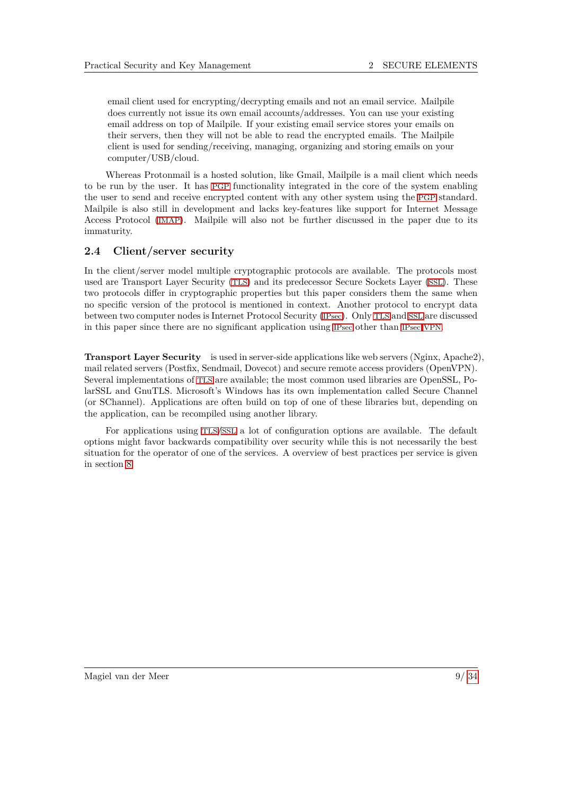email client used for encrypting/decrypting emails and not an email service. Mailpile does currently not issue its own email accounts/addresses. You can use your existing email address on top of Mailpile. If your existing email service stores your emails on their servers, then they will not be able to read the encrypted emails. The Mailpile client is used for sending/receiving, managing, organizing and storing emails on your computer/USB/cloud.

Whereas Protonmail is a hosted solution, like Gmail, Mailpile is a mail client which needs to be run by the user. It has [PGP](#page-6-0) functionality integrated in the core of the system enabling the user to send and receive encrypted content with any other system using the [PGP](#page-6-0) standard. Mailpile is also still in development and lacks key-features like support for Internet Message Access Protocol ([IMAP](#page-6-23)). Mailpile will also not be further discussed in the paper due to its immaturity.

#### <span id="page-9-0"></span>**2.4 Client/server security**

In the client/server model multiple cryptographic protocols are available. The protocols most used are Transport Layer Security ([TLS](#page-6-24)) and its predecessor Secure Sockets Layer ([SSL](#page-6-25)). These two protocols differ in cryptographic properties but this paper considers them the same when no specific version of the protocol is mentioned in context. Another protocol to encrypt data between two computer nodes is Internet Protocol Security ([IPsec](#page-6-26)). Only [TLS](#page-6-24) and [SSL](#page-6-25) are discussed in this paper since there are no significant application using [IPsec](#page-6-26) other than [IPsec](#page-6-26) [VPN](#page-6-19).

**Transport Layer Security** is used in server-side applications like web servers (Nginx, Apache2), mail related servers (Postfix, Sendmail, Dovecot) and secure remote access providers (OpenVPN). Several implementations of [TLS](#page-6-24) are available; the most common used libraries are OpenSSL, PolarSSL and GnuTLS. Microsoft's Windows has its own implementation called Secure Channel (or SChannel). Applications are often build on top of one of these libraries but, depending on the application, can be recompiled using another library.

For applications using [TLS](#page-6-24)/[SSL](#page-6-25) a lot of configuration options are available. The default options might favor backwards compatibility over security while this is not necessarily the best situation for the operator of one of the services. A overview of best practices per service is given in section [8.](#page-27-0)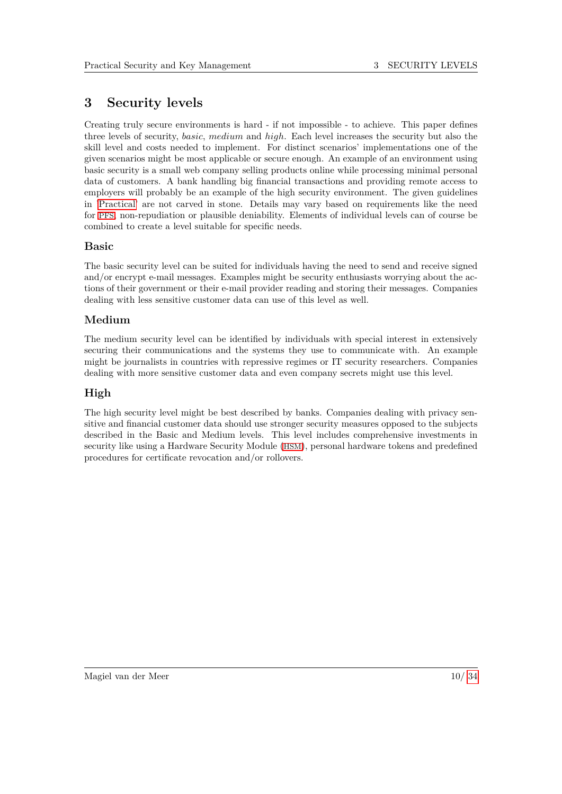# <span id="page-10-0"></span>**3 Security levels**

Creating truly secure environments is hard - if not impossible - to achieve. This paper defines three levels of security, *basic*, *medium* and *high*. Each level increases the security but also the skill level and costs needed to implement. For distinct scenarios' implementations one of the given scenarios might be most applicable or secure enough. An example of an environment using basic security is a small web company selling products online while processing minimal personal data of customers. A bank handling big financial transactions and providing remote access to employers will probably be an example of the high security environment. The given guidelines in ['Practical'](#page-27-0) are not carved in stone. Details may vary based on requirements like the need for [PFS](#page-6-22), non-repudiation or plausible deniability. Elements of individual levels can of course be combined to create a level suitable for specific needs.

## **Basic**

The basic security level can be suited for individuals having the need to send and receive signed and/or encrypt e-mail messages. Examples might be security enthusiasts worrying about the actions of their government or their e-mail provider reading and storing their messages. Companies dealing with less sensitive customer data can use of this level as well.

## **Medium**

The medium security level can be identified by individuals with special interest in extensively securing their communications and the systems they use to communicate with. An example might be journalists in countries with repressive regimes or IT security researchers. Companies dealing with more sensitive customer data and even company secrets might use this level.

# **High**

The high security level might be best described by banks. Companies dealing with privacy sensitive and financial customer data should use stronger security measures opposed to the subjects described in the Basic and Medium levels. This level includes comprehensive investments in security like using a Hardware Security Module ([HSM](#page-6-27)), personal hardware tokens and predefined procedures for certificate revocation and/or rollovers.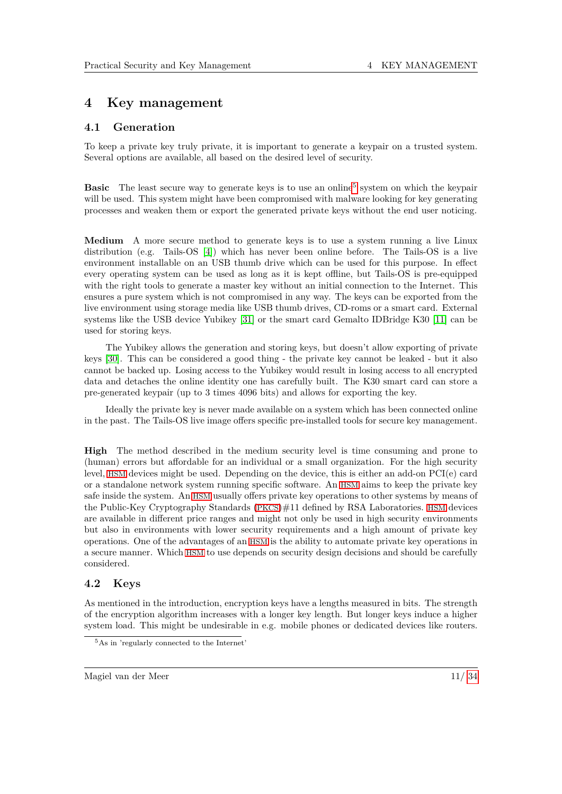# <span id="page-11-0"></span>**4 Key management**

#### <span id="page-11-1"></span>**4.1 Generation**

To keep a private key truly private, it is important to generate a keypair on a trusted system. Several options are available, all based on the desired level of security.

**Basic** The least secure way to generate keys is to use an online<sup>[5](#page-11-3)</sup> system on which the keypair will be used. This system might have been compromised with malware looking for key generating processes and weaken them or export the generated private keys without the end user noticing.

**Medium** A more secure method to generate keys is to use a system running a live Linux distribution (e.g. Tails-OS [\[4\]](#page-33-8)) which has never been online before. The Tails-OS is a live environment installable on an USB thumb drive which can be used for this purpose. In effect every operating system can be used as long as it is kept offline, but Tails-OS is pre-equipped with the right tools to generate a master key without an initial connection to the Internet. This ensures a pure system which is not compromised in any way. The keys can be exported from the live environment using storage media like USB thumb drives, CD-roms or a smart card. External systems like the USB device Yubikey [\[31\]](#page-34-1) or the smart card Gemalto IDBridge K30 [\[11\]](#page-33-9) can be used for storing keys.

The Yubikey allows the generation and storing keys, but doesn't allow exporting of private keys [\[30\]](#page-34-2). This can be considered a good thing - the private key cannot be leaked - but it also cannot be backed up. Losing access to the Yubikey would result in losing access to all encrypted data and detaches the online identity one has carefully built. The K30 smart card can store a pre-generated keypair (up to 3 times 4096 bits) and allows for exporting the key.

Ideally the private key is never made available on a system which has been connected online in the past. The Tails-OS live image offers specific pre-installed tools for secure key management.

**High** The method described in the medium security level is time consuming and prone to (human) errors but affordable for an individual or a small organization. For the high security level, [HSM](#page-6-27) devices might be used. Depending on the device, this is either an add-on PCI(e) card or a standalone network system running specific software. An [HSM](#page-6-27) aims to keep the private key safe inside the system. An [HSM](#page-6-27) usually offers private key operations to other systems by means of the Public-Key Cryptography Standards ([PKCS](#page-6-28))#11 defined by RSA Laboratories. [HSM](#page-6-27) devices are available in different price ranges and might not only be used in high security environments but also in environments with lower security requirements and a high amount of private key operations. One of the advantages of an [HSM](#page-6-27) is the ability to automate private key operations in a secure manner. Which [HSM](#page-6-27) to use depends on security design decisions and should be carefully considered.

### <span id="page-11-2"></span>**4.2 Keys**

As mentioned in the introduction, encryption keys have a lengths measured in bits. The strength of the encryption algorithm increases with a longer key length. But longer keys induce a higher system load. This might be undesirable in e.g. mobile phones or dedicated devices like routers.

<span id="page-11-3"></span><sup>5</sup>As in 'regularly connected to the Internet'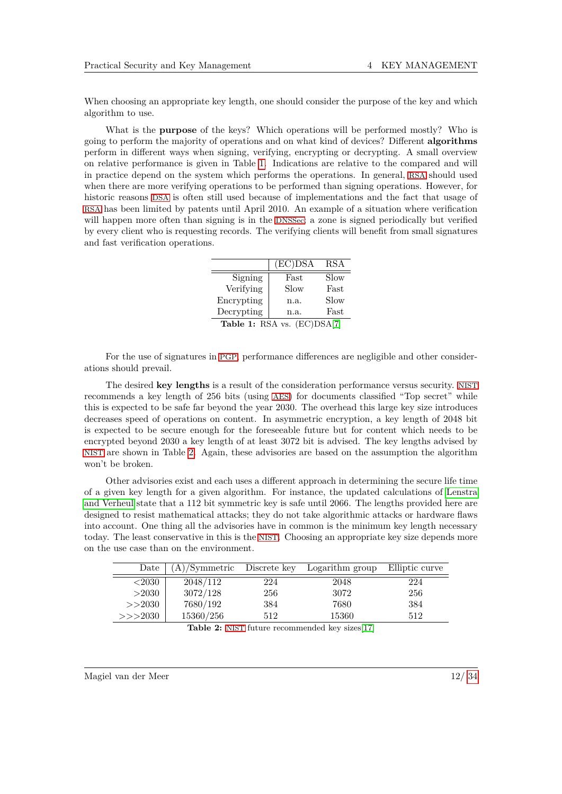When choosing an appropriate key length, one should consider the purpose of the key and which algorithm to use.

What is the **purpose** of the keys? Which operations will be performed mostly? Who is going to perform the majority of operations and on what kind of devices? Different **algorithms** perform in different ways when signing, verifying, encrypting or decrypting. A small overview on relative performance is given in Table [1.](#page-12-0) Indications are relative to the compared and will in practice depend on the system which performs the operations. In general, [RSA](#page-6-9) should used when there are more verifying operations to be performed than signing operations. However, for historic reasons [DSA](#page-6-10) is often still used because of implementations and the fact that usage of [RSA](#page-6-9) has been limited by patents until April 2010. An example of a situation where verification will happen more often than signing is in the [DNSSec](#page-6-18); a zone is signed periodically but verified by every client who is requesting records. The verifying clients will benefit from small signatures and fast verification operations.

|            | $(EC)$ DSA                  | <b>RSA</b> |
|------------|-----------------------------|------------|
| Signing    | Fast                        | Slow       |
| Verifying  | Slow                        | Fast       |
| Encrypting | n.a.                        | Slow       |
| Decrypting | n.a.                        | Fast       |
|            | Table 1: RSA vs. (EC)DSA[7] |            |

<span id="page-12-0"></span>For the use of signatures in [PGP](#page-6-0), performance differences are negligible and other considerations should prevail.

The desired **key lengths** is a result of the consideration performance versus security. [NIST](#page-6-11) recommends a key length of 256 bits (using [AES](#page-6-2)) for documents classified "Top secret" while this is expected to be safe far beyond the year 2030. The overhead this large key size introduces decreases speed of operations on content. In asymmetric encryption, a key length of 2048 bit is expected to be secure enough for the foreseeable future but for content which needs to be encrypted beyond 2030 a key length of at least 3072 bit is advised. The key lengths advised by [NIST](#page-6-11) are shown in Table [2.](#page-12-1) Again, these advisories are based on the assumption the algorithm won't be broken.

Other advisories exist and each uses a different approach in determining the secure life time of a given key length for a given algorithm. For instance, the updated calculations of [Lenstra](#page-33-11) [and Verheul](#page-33-11) state that a 112 bit symmetric key is safe until 2066. The lengths provided here are designed to resist mathematical attacks; they do not take algorithmic attacks or hardware flaws into account. One thing all the advisories have in common is the minimum key length necessary today. The least conservative in this is the [NIST](#page-6-11). Choosing an appropriate key size depends more on the use case than on the environment.

<span id="page-12-1"></span>

| Date   | (A)/Symmetric | Discrete key | Logarithm group | Elliptic curve |
|--------|---------------|--------------|-----------------|----------------|
| < 2030 | 2048/112      | 224          | 2048            | 224            |
| >2030  | 3072/128      | 256          | 3072            | 256            |
| >>2030 | 7680/192      | 384          | 7680            | 384            |
| >>2030 | 15360/256     | 512          | 15360           | 512            |

Table 2: [NIST](#page-6-11) future recommended key sizes[\[17\]](#page-33-12)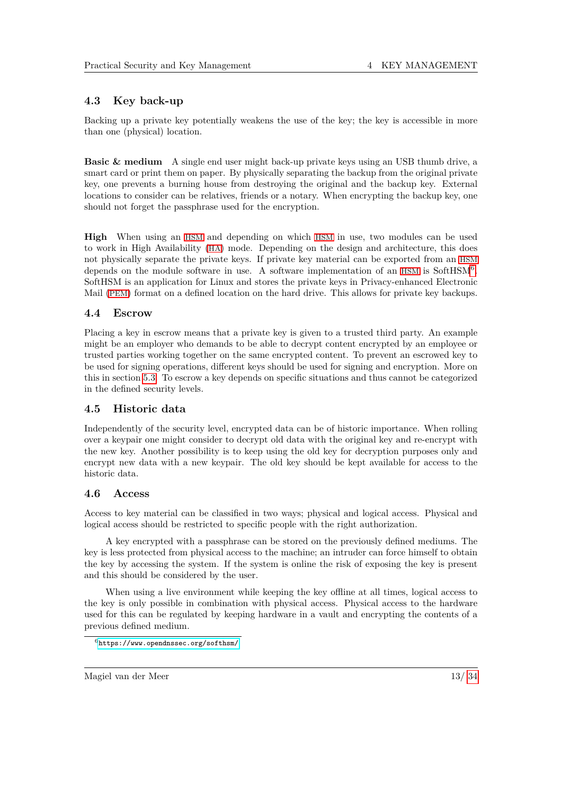## <span id="page-13-0"></span>**4.3 Key back-up**

Backing up a private key potentially weakens the use of the key; the key is accessible in more than one (physical) location.

**Basic & medium** A single end user might back-up private keys using an USB thumb drive, a smart card or print them on paper. By physically separating the backup from the original private key, one prevents a burning house from destroying the original and the backup key. External locations to consider can be relatives, friends or a notary. When encrypting the backup key, one should not forget the passphrase used for the encryption.

**High** When using an [HSM](#page-6-27) and depending on which [HSM](#page-6-27) in use, two modules can be used to work in High Availability ([HA](#page-6-29)) mode. Depending on the design and architecture, this does not physically separate the private keys. If private key material can be exported from an [HSM](#page-6-27) depends on the module software in use. A software implementation of an [HSM](#page-6-27) is SoftHSM<sup>[6](#page-13-4)</sup>. SoftHSM is an application for Linux and stores the private keys in Privacy-enhanced Electronic Mail ([PEM](#page-6-30)) format on a defined location on the hard drive. This allows for private key backups.

## <span id="page-13-1"></span>**4.4 Escrow**

Placing a key in escrow means that a private key is given to a trusted third party. An example might be an employer who demands to be able to decrypt content encrypted by an employee or trusted parties working together on the same encrypted content. To prevent an escrowed key to be used for signing operations, different keys should be used for signing and encryption. More on this in section [5.3.](#page-15-3) To escrow a key depends on specific situations and thus cannot be categorized in the defined security levels.

## <span id="page-13-2"></span>**4.5 Historic data**

Independently of the security level, encrypted data can be of historic importance. When rolling over a keypair one might consider to decrypt old data with the original key and re-encrypt with the new key. Another possibility is to keep using the old key for decryption purposes only and encrypt new data with a new keypair. The old key should be kept available for access to the historic data.

## <span id="page-13-3"></span>**4.6 Access**

Access to key material can be classified in two ways; physical and logical access. Physical and logical access should be restricted to specific people with the right authorization.

A key encrypted with a passphrase can be stored on the previously defined mediums. The key is less protected from physical access to the machine; an intruder can force himself to obtain the key by accessing the system. If the system is online the risk of exposing the key is present and this should be considered by the user.

When using a live environment while keeping the key offline at all times, logical access to the key is only possible in combination with physical access. Physical access to the hardware used for this can be regulated by keeping hardware in a vault and encrypting the contents of a previous defined medium.

<span id="page-13-4"></span> $6$ <https://www.opendnssec.org/softhsm/>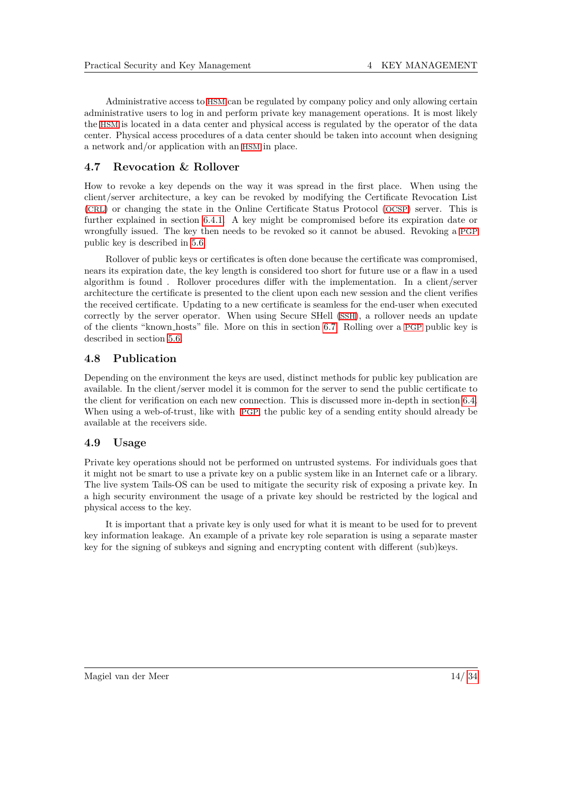Administrative access to [HSM](#page-6-27) can be regulated by company policy and only allowing certain administrative users to log in and perform private key management operations. It is most likely the [HSM](#page-6-27) is located in a data center and physical access is regulated by the operator of the data center. Physical access procedures of a data center should be taken into account when designing a network and/or application with an [HSM](#page-6-27) in place.

### <span id="page-14-0"></span>**4.7 Revocation & Rollover**

How to revoke a key depends on the way it was spread in the first place. When using the client/server architecture, a key can be revoked by modifying the Certificate Revocation List ([CRL](#page-6-31)) or changing the state in the Online Certificate Status Protocol ([OCSP](#page-6-32)) server. This is further explained in section [6.4.1.](#page-20-0) A key might be compromised before its expiration date or wrongfully issued. The key then needs to be revoked so it cannot be abused. Revoking a [PGP](#page-6-0) public key is described in [5.6.](#page-16-2)

Rollover of public keys or certificates is often done because the certificate was compromised, nears its expiration date, the key length is considered too short for future use or a flaw in a used algorithm is found . Rollover procedures differ with the implementation. In a client/server architecture the certificate is presented to the client upon each new session and the client verifies the received certificate. Updating to a new certificate is seamless for the end-user when executed correctly by the server operator. When using Secure SHell ([SSH](#page-6-33)), a rollover needs an update of the clients "known hosts" file. More on this in section [6.7.](#page-22-0) Rolling over a [PGP](#page-6-0) public key is described in section [5.6.](#page-16-2)

### <span id="page-14-1"></span>**4.8 Publication**

Depending on the environment the keys are used, distinct methods for public key publication are available. In the client/server model it is common for the server to send the public certificate to the client for verification on each new connection. This is discussed more in-depth in section [6.4.](#page-19-1) When using a web-of-trust, like with [PGP](#page-6-0), the public key of a sending entity should already be available at the receivers side.

#### <span id="page-14-2"></span>**4.9 Usage**

Private key operations should not be performed on untrusted systems. For individuals goes that it might not be smart to use a private key on a public system like in an Internet cafe or a library. The live system Tails-OS can be used to mitigate the security risk of exposing a private key. In a high security environment the usage of a private key should be restricted by the logical and physical access to the key.

It is important that a private key is only used for what it is meant to be used for to prevent key information leakage. An example of a private key role separation is using a separate master key for the signing of subkeys and signing and encrypting content with different (sub)keys.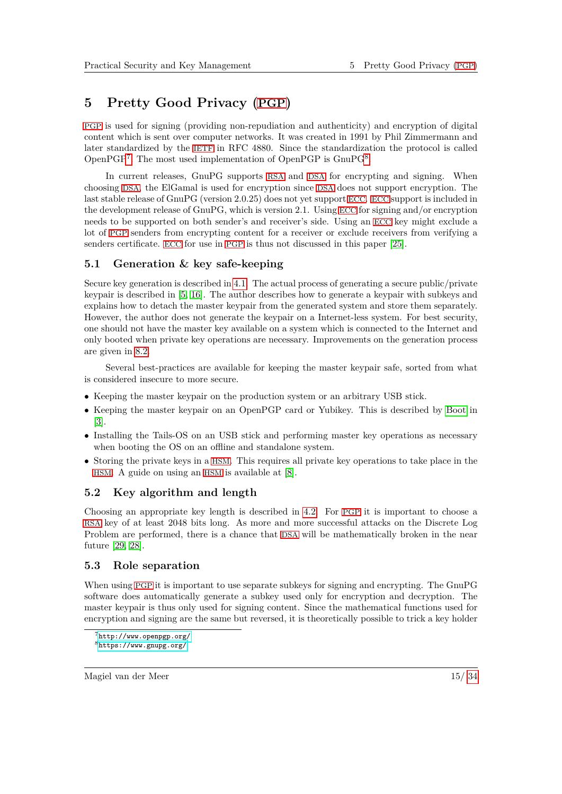# <span id="page-15-0"></span>**5 Pretty Good Privacy ([PGP](#page-6-0))**

[PGP](#page-6-0) is used for signing (providing non-repudiation and authenticity) and encryption of digital content which is sent over computer networks. It was created in 1991 by Phil Zimmermann and later standardized by the [IETF](#page-6-20) in RFC 4880. Since the standardization the protocol is called OpenPGP<sup>[7](#page-15-4)</sup>. The most used implementation of OpenPGP is GnuPG<sup>[8](#page-15-5)</sup>.

In current releases, GnuPG supports [RSA](#page-6-9) and [DSA](#page-6-10) for encrypting and signing. When choosing [DSA](#page-6-10), the ElGamal is used for encryption since [DSA](#page-6-10) does not support encryption. The last stable release of GnuPG (version 2.0.25) does not yet support [ECC](#page-6-13). [ECC](#page-6-13) support is included in the development release of GnuPG, which is version 2.1. Using [ECC](#page-6-13) for signing and/or encryption needs to be supported on both sender's and receiver's side. Using an [ECC](#page-6-13) key might exclude a lot of [PGP](#page-6-0) senders from encrypting content for a receiver or exclude receivers from verifying a senders certificate. [ECC](#page-6-13) for use in [PGP](#page-6-0) is thus not discussed in this paper [\[25\]](#page-34-3).

## <span id="page-15-1"></span>**5.1 Generation & key safe-keeping**

Secure key generation is described in [4.1.](#page-11-1) The actual process of generating a secure public/private keypair is described in [\[5,](#page-33-13) [16\]](#page-33-14). The author describes how to generate a keypair with subkeys and explains how to detach the master keypair from the generated system and store them separately. However, the author does not generate the keypair on a Internet-less system. For best security, one should not have the master key available on a system which is connected to the Internet and only booted when private key operations are necessary. Improvements on the generation process are given in [8.2.](#page-28-0)

Several best-practices are available for keeping the master keypair safe, sorted from what is considered insecure to more secure.

- Keeping the master keypair on the production system or an arbitrary USB stick.
- Keeping the master keypair on an OpenPGP card or Yubikey. This is described by [Boot](#page-33-15) in  $|3|$ .
- Installing the Tails-OS on an USB stick and performing master key operations as necessary when booting the OS on an offline and standalone system.
- Storing the private keys in a [HSM](#page-6-27). This requires all private key operations to take place in the [HSM](#page-6-27). A guide on using an [HSM](#page-6-27) is available at [\[8\]](#page-33-16).

## <span id="page-15-2"></span>**5.2 Key algorithm and length**

Choosing an appropriate key length is described in [4.2.](#page-11-2) For [PGP](#page-6-0) it is important to choose a [RSA](#page-6-9) key of at least 2048 bits long. As more and more successful attacks on the Discrete Log Problem are performed, there is a chance that [DSA](#page-6-10) will be mathematically broken in the near future [\[29,](#page-34-4) [28\]](#page-34-5).

## <span id="page-15-3"></span>**5.3 Role separation**

When using [PGP](#page-6-0) it is important to use separate subkeys for signing and encrypting. The GnuPG software does automatically generate a subkey used only for encryption and decryption. The master keypair is thus only used for signing content. Since the mathematical functions used for encryption and signing are the same but reversed, it is theoretically possible to trick a key holder

#### Magiel van der Meer 15/ [34](#page-34-0)

<span id="page-15-5"></span><span id="page-15-4"></span><sup>7</sup><http://www.openpgp.org/> <sup>8</sup><https://www.gnupg.org/>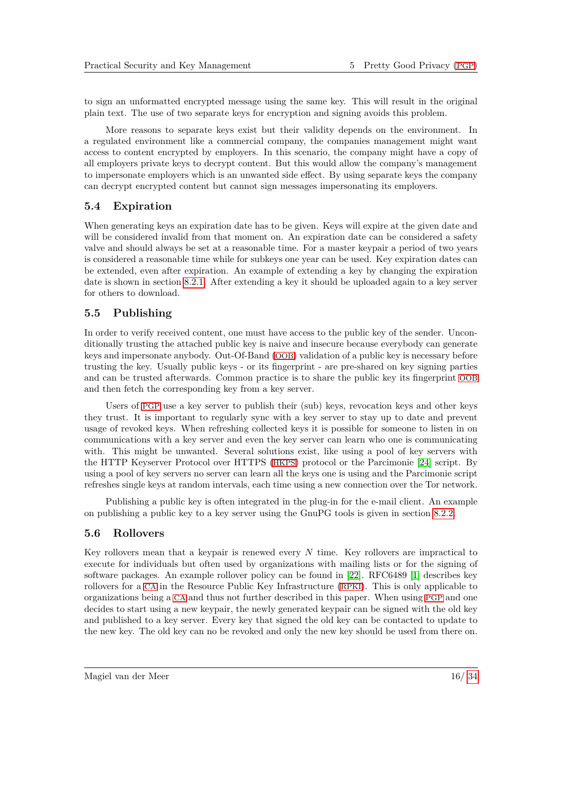to sign an unformatted encrypted message using the same key. This will result in the original plain text. The use of two separate keys for encryption and signing avoids this problem.

More reasons to separate keys exist but their validity depends on the environment. In a regulated environment like a commercial company, the companies management might want access to content encrypted by employers. In this scenario, the company might have a copy of all employers private keys to decrypt content. But this would allow the company's management to impersonate employers which is an unwanted side effect. By using separate keys the company can decrypt encrypted content but cannot sign messages impersonating its employers.

#### <span id="page-16-0"></span>**5.4 Expiration**

When generating keys an expiration date has to be given. Keys will expire at the given date and will be considered invalid from that moment on. An expiration date can be considered a safety valve and should always be set at a reasonable time. For a master keypair a period of two years is considered a reasonable time while for subkeys one year can be used. Key expiration dates can be extended, even after expiration. An example of extending a key by changing the expiration date is shown in section [8.2.1.](#page-28-2) After extending a key it should be uploaded again to a key server for others to download.

#### <span id="page-16-1"></span>**5.5 Publishing**

In order to verify received content, one must have access to the public key of the sender. Unconditionally trusting the attached public key is naive and insecure because everybody can generate keys and impersonate anybody. Out-Of-Band ([OOB](#page-6-34)) validation of a public key is necessary before trusting the key. Usually public keys - or its fingerprint - are pre-shared on key signing parties and can be trusted afterwards. Common practice is to share the public key its fingerprint [OOB](#page-6-34) and then fetch the corresponding key from a key server.

Users of [PGP](#page-6-0) use a key server to publish their (sub) keys, revocation keys and other keys they trust. It is important to regularly sync with a key server to stay up to date and prevent usage of revoked keys. When refreshing collected keys it is possible for someone to listen in on communications with a key server and even the key server can learn who one is communicating with. This might be unwanted. Several solutions exist, like using a pool of key servers with the HTTP Keyserver Protocol over HTTPS ([HKPS](#page-6-35)) protocol or the Parcimonie [\[24\]](#page-34-6) script. By using a pool of key servers no server can learn all the keys one is using and the Parcimonie script refreshes single keys at random intervals, each time using a new connection over the Tor network.

Publishing a public key is often integrated in the plug-in for the e-mail client. An example on publishing a public key to a key server using the GnuPG tools is given in section [8.2.2.](#page-28-3)

#### <span id="page-16-2"></span>**5.6 Rollovers**

Key rollovers mean that a keypair is renewed every *N* time. Key rollovers are impractical to execute for individuals but often used by organizations with mailing lists or for the signing of software packages. An example rollover policy can be found in [\[22\]](#page-34-7). RFC6489 [\[1\]](#page-33-17) describes key rollovers for a [CA](#page-6-5) in the Resource Public Key Infrastructure ([RPKI](#page-6-36)). This is only applicable to organizations being a [CA](#page-6-5) and thus not further described in this paper. When using [PGP](#page-6-0) and one decides to start using a new keypair, the newly generated keypair can be signed with the old key and published to a key server. Every key that signed the old key can be contacted to update to the new key. The old key can no be revoked and only the new key should be used from there on.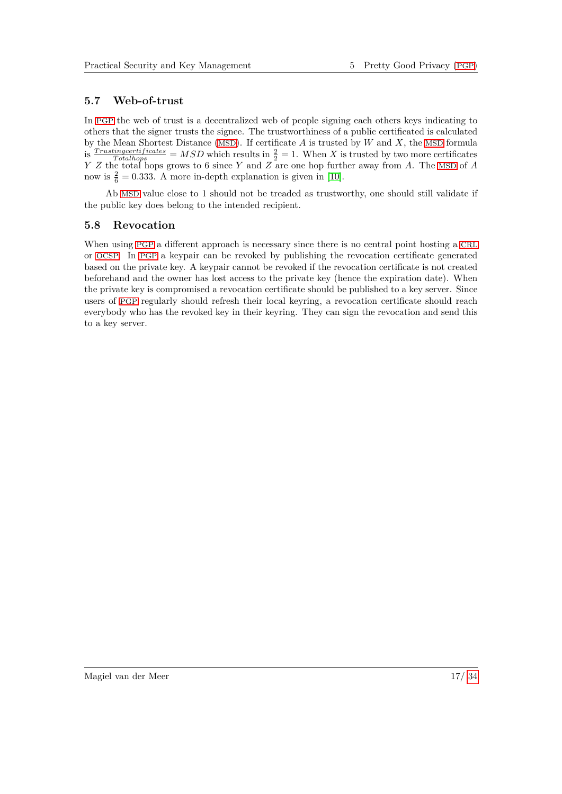### <span id="page-17-0"></span>**5.7 Web-of-trust**

In [PGP](#page-6-0) the web of trust is a decentralized web of people signing each others keys indicating to others that the signer trusts the signee. The trustworthiness of a public certificated is calculated by the Mean Shortest Distance ([MSD](#page-6-37)). If certificate *A* is trusted by *W* and *X*, the [MSD](#page-6-37) formula is  $\frac{Trustingcertificates}{Totalhops} = MSD$  which results in  $\frac{2}{2} = 1$ . When *X* is trusted by two more certificates *Y Z* the total hops grows to 6 since *Y* and *Z* are one hop further away from *A*. The [MSD](#page-6-37) of *A* now is  $\frac{2}{6} = 0.333$ . A more in-depth explanation is given in [\[10\]](#page-33-18).

Ab [MSD](#page-6-37) value close to 1 should not be treaded as trustworthy, one should still validate if the public key does belong to the intended recipient.

#### <span id="page-17-1"></span>**5.8 Revocation**

When using [PGP](#page-6-0) a different approach is necessary since there is no central point hosting a [CRL](#page-6-31) or [OCSP](#page-6-32). In [PGP](#page-6-0) a keypair can be revoked by publishing the revocation certificate generated based on the private key. A keypair cannot be revoked if the revocation certificate is not created beforehand and the owner has lost access to the private key (hence the expiration date). When the private key is compromised a revocation certificate should be published to a key server. Since users of [PGP](#page-6-0) regularly should refresh their local keyring, a revocation certificate should reach everybody who has the revoked key in their keyring. They can sign the revocation and send this to a key server.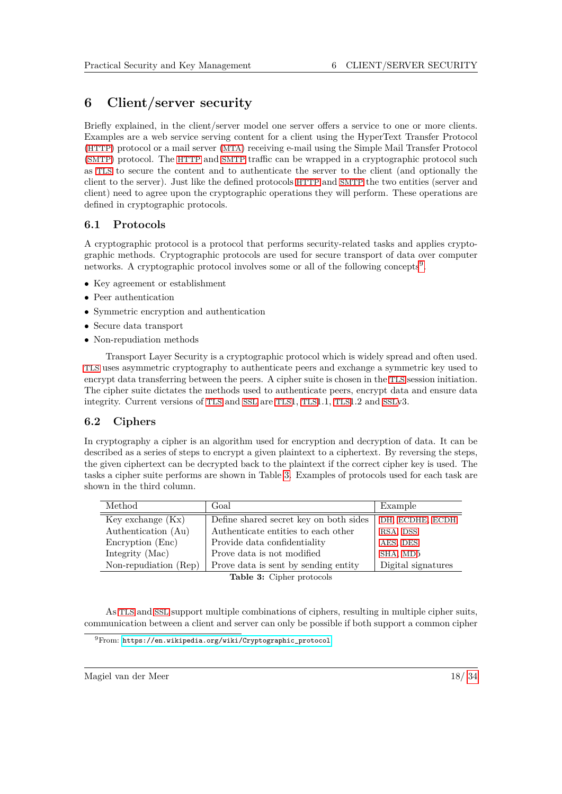# <span id="page-18-0"></span>**6 Client/server security**

Briefly explained, in the client/server model one server offers a service to one or more clients. Examples are a web service serving content for a client using the HyperText Transfer Protocol ([HTTP](#page-6-38)) protocol or a mail server ([MTA](#page-6-39)) receiving e-mail using the Simple Mail Transfer Protocol ([SMTP](#page-6-40)) protocol. The [HTTP](#page-6-38) and [SMTP](#page-6-40) traffic can be wrapped in a cryptographic protocol such as [TLS](#page-6-24) to secure the content and to authenticate the server to the client (and optionally the client to the server). Just like the defined protocols [HTTP](#page-6-38) and [SMTP](#page-6-40) the two entities (server and client) need to agree upon the cryptographic operations they will perform. These operations are defined in cryptographic protocols.

# <span id="page-18-1"></span>**6.1 Protocols**

A cryptographic protocol is a protocol that performs security-related tasks and applies cryptographic methods. Cryptographic protocols are used for secure transport of data over computer networks. A cryptographic protocol involves some or all of the following concepts<sup>[9](#page-18-3)</sup>.

- Key agreement or establishment
- Peer authentication
- Symmetric encryption and authentication
- Secure data transport
- Non-repudiation methods

Transport Layer Security is a cryptographic protocol which is widely spread and often used. [TLS](#page-6-24) uses asymmetric cryptography to authenticate peers and exchange a symmetric key used to encrypt data transferring between the peers. A cipher suite is chosen in the [TLS](#page-6-24) session initiation. The cipher suite dictates the methods used to authenticate peers, encrypt data and ensure data integrity. Current versions of [TLS](#page-6-24) and [SSL](#page-6-25) are [TLS](#page-6-24)1, [TLS](#page-6-24)1.1, [TLS](#page-6-24)1.2 and [SSL](#page-6-25)v3.

# <span id="page-18-2"></span>**6.2 Ciphers**

In cryptography a cipher is an algorithm used for encryption and decryption of data. It can be described as a series of steps to encrypt a given plaintext to a ciphertext. By reversing the steps, the given ciphertext can be decrypted back to the plaintext if the correct cipher key is used. The tasks a cipher suite performs are shown in Table [3.](#page-18-4) Examples of protocols used for each task are shown in the third column.

<span id="page-18-4"></span>

| Method                                                      | Goal                                   | Example            |  |
|-------------------------------------------------------------|----------------------------------------|--------------------|--|
| Key exchange $(Kx)$                                         | Define shared secret key on both sides | DH, ECDHE, ECDH    |  |
| Authentication (Au)                                         | Authenticate entities to each other    | RSA, DSS           |  |
| Encryption (Enc)                                            | Provide data confidentiality           | AES, DES           |  |
| Integrity (Mac)                                             | Prove data is not modified             | SHA, MD5           |  |
| Non-repudiation (Rep)                                       | Prove data is sent by sending entity   | Digital signatures |  |
| $\mathbf{m}$ -Ll- $\mathbf{a}$ . $\alpha$ $\ldots$ $\ldots$ |                                        |                    |  |

**Table 3:** Cipher protocols

As [TLS](#page-6-24) and [SSL](#page-6-25) support multiple combinations of ciphers, resulting in multiple cipher suits, communication between a client and server can only be possible if both support a common cipher

<span id="page-18-3"></span><sup>9</sup>From: [https://en.wikipedia.org/wiki/Cryptographic\\_protocol](https://en.wikipedia.org/wiki/Cryptographic_protocol)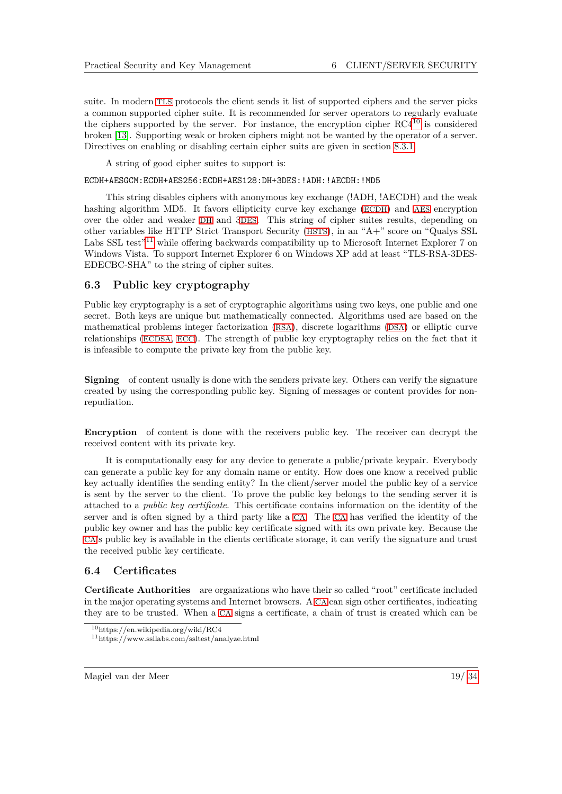suite. In modern [TLS](#page-6-24) protocols the client sends it list of supported ciphers and the server picks a common supported cipher suite. It is recommended for server operators to regularly evaluate the ciphers supported by the server. For instance, the encryption cipher  $RC4^{10}$  $RC4^{10}$  $RC4^{10}$  is considered broken [\[13\]](#page-33-19). Supporting weak or broken ciphers might not be wanted by the operator of a server. Directives on enabling or disabling certain cipher suits are given in section [8.3.1.](#page-28-4)

A string of good cipher suites to support is:

#### ECDH+AESGCM:ECDH+AES256:ECDH+AES128:DH+3DES:!ADH:!AECDH:!MD5

This string disables ciphers with anonymous key exchange (!ADH, !AECDH) and the weak hashing algorithm MD5. It favors ellipticity curve key exchange ([ECDH](#page-6-8)) and [AES](#page-6-2) encryption over the older and weaker [DH](#page-6-6) and 3[DES](#page-6-1). This string of cipher suites results, depending on other variables like HTTP Strict Transport Security ([HSTS](#page-6-44)), in an "A+" score on "Qualys SSL Labs SSL test<sup>"[11](#page-19-3)</sup> while offering backwards compatibility up to Microsoft Internet Explorer 7 on Windows Vista. To support Internet Explorer 6 on Windows XP add at least "TLS-RSA-3DES-EDECBC-SHA" to the string of cipher suites.

### <span id="page-19-0"></span>**6.3 Public key cryptography**

Public key cryptography is a set of cryptographic algorithms using two keys, one public and one secret. Both keys are unique but mathematically connected. Algorithms used are based on the mathematical problems integer factorization ([RSA](#page-6-9)), discrete logarithms ([DSA](#page-6-10)) or elliptic curve relationships ([ECDSA](#page-6-12), [ECC](#page-6-13)). The strength of public key cryptography relies on the fact that it is infeasible to compute the private key from the public key.

**Signing** of content usually is done with the senders private key. Others can verify the signature created by using the corresponding public key. Signing of messages or content provides for nonrepudiation.

**Encryption** of content is done with the receivers public key. The receiver can decrypt the received content with its private key.

It is computationally easy for any device to generate a public/private keypair. Everybody can generate a public key for any domain name or entity. How does one know a received public key actually identifies the sending entity? In the client/server model the public key of a service is sent by the server to the client. To prove the public key belongs to the sending server it is attached to a *public key certificate*. This certificate contains information on the identity of the server and is often signed by a third party like a [CA](#page-6-5). The [CA](#page-6-5) has verified the identity of the public key owner and has the public key certificate signed with its own private key. Because the [CA](#page-6-5)'s public key is available in the clients certificate storage, it can verify the signature and trust the received public key certificate.

#### <span id="page-19-1"></span>**6.4 Certificates**

**Certificate Authorities** are organizations who have their so called "root" certificate included in the major operating systems and Internet browsers. A [CA](#page-6-5) can sign other certificates, indicating they are to be trusted. When a [CA](#page-6-5) signs a certificate, a chain of trust is created which can be

<span id="page-19-2"></span><sup>10</sup>https://en.wikipedia.org/wiki/RC4

<span id="page-19-3"></span><sup>11</sup>https://www.ssllabs.com/ssltest/analyze.html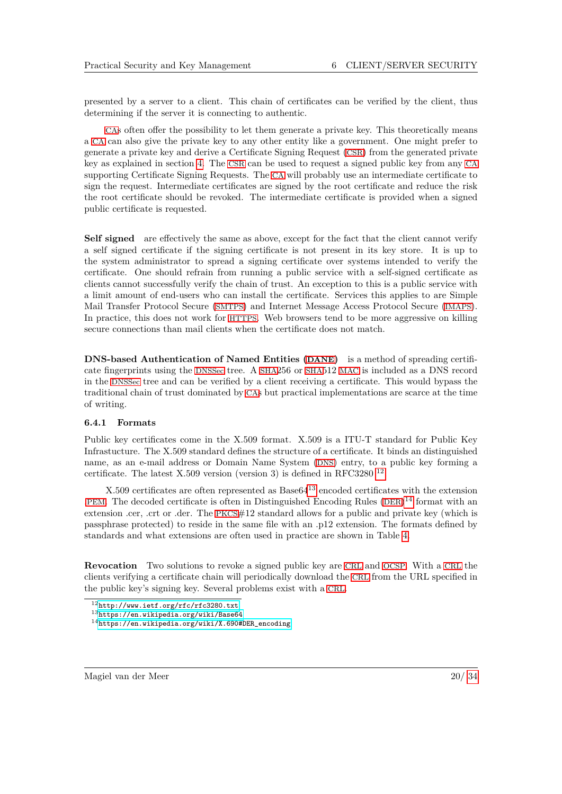presented by a server to a client. This chain of certificates can be verified by the client, thus determining if the server it is connecting to authentic.

[CA](#page-6-5)s often offer the possibility to let them generate a private key. This theoretically means a [CA](#page-6-5) can also give the private key to any other entity like a government. One might prefer to generate a private key and derive a Certificate Signing Request ([CSR](#page-6-45)) from the generated private key as explained in section [4.](#page-11-0) The [CSR](#page-6-45) can be used to request a signed public key from any [CA](#page-6-5) supporting Certificate Signing Requests. The [CA](#page-6-5) will probably use an intermediate certificate to sign the request. Intermediate certificates are signed by the root certificate and reduce the risk the root certificate should be revoked. The intermediate certificate is provided when a signed public certificate is requested.

**Self signed** are effectively the same as above, except for the fact that the client cannot verify a self signed certificate if the signing certificate is not present in its key store. It is up to the system administrator to spread a signing certificate over systems intended to verify the certificate. One should refrain from running a public service with a self-signed certificate as clients cannot successfully verify the chain of trust. An exception to this is a public service with a limit amount of end-users who can install the certificate. Services this applies to are Simple Mail Transfer Protocol Secure ([SMTPS](#page-6-46)) and Internet Message Access Protocol Secure ([IMAPS](#page-6-47)). In practice, this does not work for [HTTPS](#page-6-15). Web browsers tend to be more aggressive on killing secure connections than mail clients when the certificate does not match.

<span id="page-20-5"></span>**DNS-based Authentication of Named Entities ([DANE](#page-6-48))** is a method of spreading certificate fingerprints using the [DNSSec](#page-6-18) tree. A [SHA](#page-6-4)256 or [SHA](#page-6-4)512 [MAC](#page-6-3) is included as a DNS record in the [DNSSec](#page-6-18) tree and can be verified by a client receiving a certificate. This would bypass the traditional chain of trust dominated by [CA](#page-6-5)s but practical implementations are scarce at the time of writing.

#### <span id="page-20-4"></span>**6.4.1 Formats**

Public key certificates come in the X.509 format. X.509 is a ITU-T standard for Public Key Infrastucture. The X.509 standard defines the structure of a certificate. It binds an distinguished name, as an e-mail address or Domain Name System ([DNS](#page-6-49)) entry, to a public key forming a certificate. The latest X.509 version (version 3) is defined in RFC3280<sup>[12](#page-20-1)</sup>.

X.509 certificates are often represented as Base64[13](#page-20-2) encoded certificates with the extension .[PEM](#page-6-30). The decoded certificate is often in Distinguished Encoding Rules  $(DER)^{14}$  $(DER)^{14}$  $(DER)^{14}$  $(DER)^{14}$  $(DER)^{14}$  format with an extension .cer, .crt or .der. The [PKCS](#page-6-28)#12 standard allows for a public and private key (which is passphrase protected) to reside in the same file with an .p12 extension. The formats defined by standards and what extensions are often used in practice are shown in Table [4.](#page-21-2)

<span id="page-20-0"></span>**Revocation** Two solutions to revoke a signed public key are [CRL](#page-6-31) and [OCSP](#page-6-32). With a [CRL](#page-6-31) the clients verifying a certificate chain will periodically download the [CRL](#page-6-31) from the URL specified in the public key's signing key. Several problems exist with a [CRL](#page-6-31).

<span id="page-20-1"></span><sup>12</sup><http://www.ietf.org/rfc/rfc3280.txt>

<span id="page-20-2"></span><sup>13</sup><https://en.wikipedia.org/wiki/Base64>

<span id="page-20-3"></span><sup>14</sup>[https://en.wikipedia.org/wiki/X.690#DER\\_encoding](https://en.wikipedia.org/wiki/X.690#DER_encoding)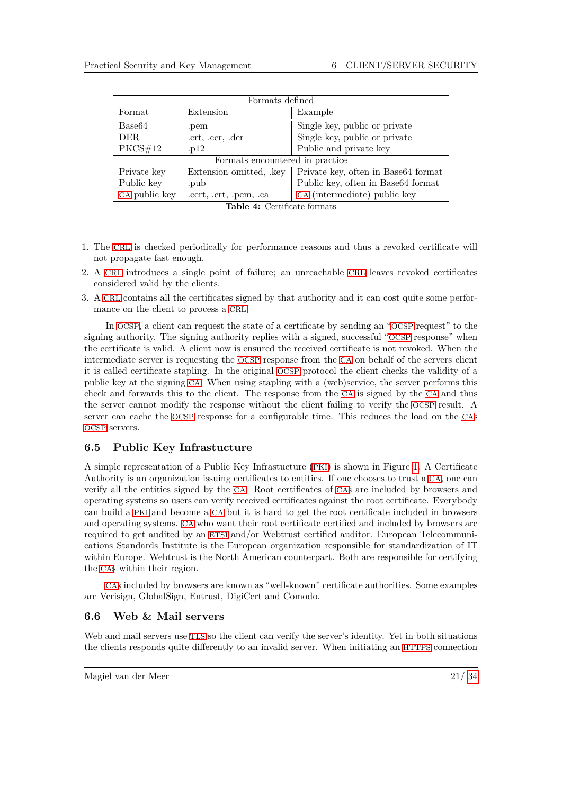<span id="page-21-2"></span>

| Formats defined                 |                         |                                     |  |  |
|---------------------------------|-------------------------|-------------------------------------|--|--|
| Format                          | Extension               | Example                             |  |  |
| Base <sub>64</sub>              | .pem                    | Single key, public or private       |  |  |
| DER.                            | .crt, .cer, .der        | Single key, public or private       |  |  |
| PKCS#12                         | .p12                    | Public and private key              |  |  |
| Formats encountered in practice |                         |                                     |  |  |
| Private key                     | Extension omitted, .key | Private key, often in Base64 format |  |  |
| Public key                      | .pub                    | Public key, often in Base64 format  |  |  |
| CA public key                   | .cert, .crt, .pem, .ca  | CA (intermediate) public key        |  |  |

|  | <b>Table 4:</b> Certificate formats |
|--|-------------------------------------|

- 1. The [CRL](#page-6-31) is checked periodically for performance reasons and thus a revoked certificate will not propagate fast enough.
- 2. A [CRL](#page-6-31) introduces a single point of failure; an unreachable [CRL](#page-6-31) leaves revoked certificates considered valid by the clients.
- <span id="page-21-3"></span>3. A [CRL](#page-6-31) contains all the certificates signed by that authority and it can cost quite some performance on the client to process a [CRL](#page-6-31).

In [OCSP](#page-6-32), a client can request the state of a certificate by sending an "[OCSP](#page-6-32) request" to the signing authority. The signing authority replies with a signed, successful "[OCSP](#page-6-32) response" when the certificate is valid. A client now is ensured the received certificate is not revoked. When the intermediate server is requesting the [OCSP](#page-6-32) response from the [CA](#page-6-5) on behalf of the servers client it is called certificate stapling. In the original [OCSP](#page-6-32) protocol the client checks the validity of a public key at the signing [CA](#page-6-5). When using stapling with a (web)service, the server performs this check and forwards this to the client. The response from the [CA](#page-6-5) is signed by the [CA](#page-6-5) and thus the server cannot modify the response without the client failing to verify the [OCSP](#page-6-32) result. A server can cache the [OCSP](#page-6-32) response for a configurable time. This reduces the load on the [CA](#page-6-5)s [OCSP](#page-6-32) servers.

## <span id="page-21-0"></span>**6.5 Public Key Infrastucture**

A simple representation of a Public Key Infrastucture ([PKI](#page-6-51)) is shown in Figure [1.](#page-22-1) A Certificate Authority is an organization issuing certificates to entities. If one chooses to trust a [CA](#page-6-5), one can verify all the entities signed by the [CA](#page-6-5). Root certificates of [CA](#page-6-5)s are included by browsers and operating systems so users can verify received certificates against the root certificate. Everybody can build a [PKI](#page-6-51) and become a [CA](#page-6-5) but it is hard to get the root certificate included in browsers and operating systems. [CA](#page-6-5) who want their root certificate certified and included by browsers are required to get audited by an [ETSI](#page-6-52) and/or Webtrust certified auditor. European Telecommunications Standards Institute is the European organization responsible for standardization of IT within Europe. Webtrust is the North American counterpart. Both are responsible for certifying the [CA](#page-6-5)s within their region.

[CA](#page-6-5)s included by browsers are known as "well-known" certificate authorities. Some examples are Verisign, GlobalSign, Entrust, DigiCert and Comodo.

## <span id="page-21-1"></span>**6.6 Web & Mail servers**

Web and mail servers use [TLS](#page-6-24) so the client can verify the server's identity. Yet in both situations the clients responds quite differently to an invalid server. When initiating an [HTTPS](#page-6-15) connection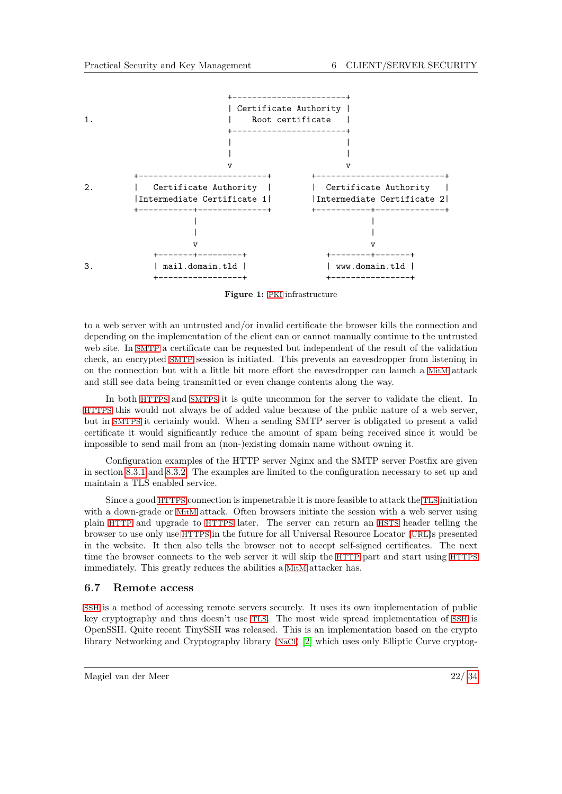<span id="page-22-1"></span>

**Figure 1:** [PKI](#page-6-51) infrastructure

to a web server with an untrusted and/or invalid certificate the browser kills the connection and depending on the implementation of the client can or cannot manually continue to the untrusted web site. In [SMTP](#page-6-40) a certificate can be requested but independent of the result of the validation check, an encrypted [SMTP](#page-6-40) session is initiated. This prevents an eavesdropper from listening in on the connection but with a little bit more effort the eavesdropper can launch a [MitM](#page-6-7) attack and still see data being transmitted or even change contents along the way.

In both [HTTPS](#page-6-15) and [SMTPS](#page-6-46) it is quite uncommon for the server to validate the client. In [HTTPS](#page-6-15) this would not always be of added value because of the public nature of a web server, but in [SMTPS](#page-6-46) it certainly would. When a sending SMTP server is obligated to present a valid certificate it would significantly reduce the amount of spam being received since it would be impossible to send mail from an (non-)existing domain name without owning it.

Configuration examples of the HTTP server Nginx and the SMTP server Postfix are given in section [8.3.1](#page-28-4) and [8.3.2.](#page-29-0) The examples are limited to the configuration necessary to set up and maintain a TLS enabled service.

Since a good [HTTPS](#page-6-15) connection is impenetrable it is more feasible to attack the [TLS](#page-6-24) initiation with a down-grade or [MitM](#page-6-7) attack. Often browsers initiate the session with a web server using plain [HTTP](#page-6-38) and upgrade to [HTTPS](#page-6-15) later. The server can return an [HSTS](#page-6-44) header telling the browser to use only use [HTTPS](#page-6-15) in the future for all Universal Resource Locator ([URL](#page-6-53))s presented in the website. It then also tells the browser not to accept self-signed certificates. The next time the browser connects to the web server it will skip the [HTTP](#page-6-38) part and start using [HTTPS](#page-6-15) immediately. This greatly reduces the abilities a [MitM](#page-6-7) attacker has.

#### <span id="page-22-0"></span>**6.7 Remote access**

[SSH](#page-6-33) is a method of accessing remote servers securely. It uses its own implementation of public key cryptography and thus doesn't use [TLS](#page-6-24). The most wide spread implementation of [SSH](#page-6-33) is OpenSSH. Quite recent TinySSH was released. This is an implementation based on the crypto library Networking and Cryptography library ([NaCl](#page-6-54)) [\[2\]](#page-33-20) which uses only Elliptic Curve cryptog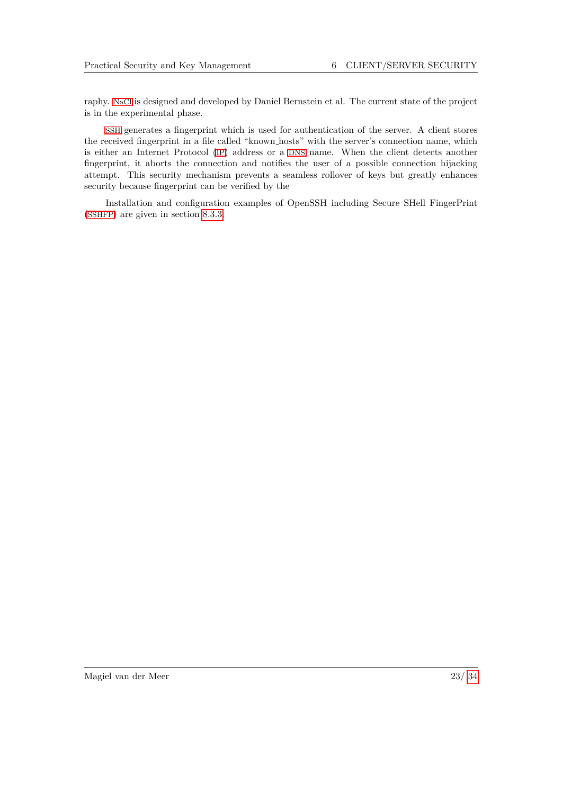raphy. [NaCl](#page-6-54) is designed and developed by Daniel Bernstein et al. The current state of the project is in the experimental phase.

[SSH](#page-6-33) generates a fingerprint which is used for authentication of the server. A client stores the received fingerprint in a file called "known hosts" with the server's connection name, which is either an Internet Protocol ([IP](#page-6-55)) address or a [DNS](#page-6-49) name. When the client detects another fingerprint, it aborts the connection and notifies the user of a possible connection hijacking attempt. This security mechanism prevents a seamless rollover of keys but greatly enhances security because fingerprint can be verified by the

Installation and configuration examples of OpenSSH including Secure SHell FingerPrint ([SSHFP](#page-6-56)) are given in section [8.3.3.](#page-30-0)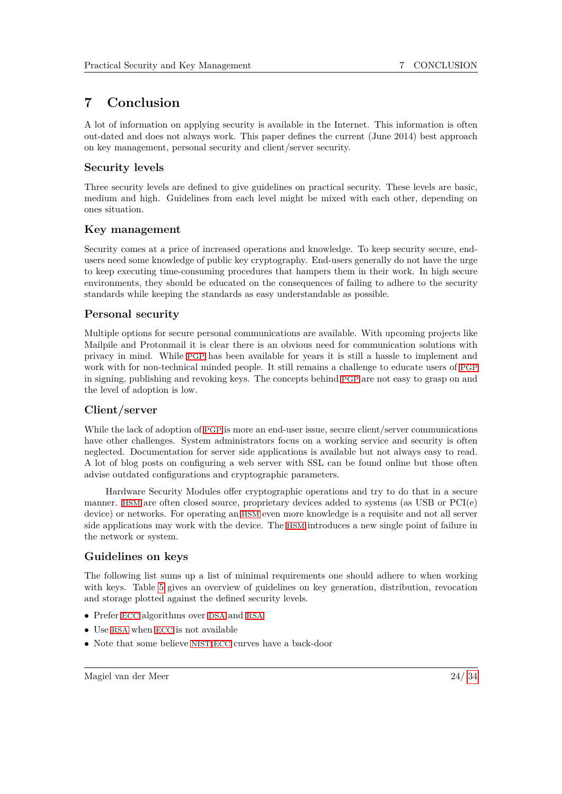# <span id="page-24-0"></span>**7 Conclusion**

A lot of information on applying security is available in the Internet. This information is often out-dated and does not always work. This paper defines the current (June 2014) best approach on key management, personal security and client/server security.

# **Security levels**

Three security levels are defined to give guidelines on practical security. These levels are basic, medium and high. Guidelines from each level might be mixed with each other, depending on ones situation.

# **Key management**

Security comes at a price of increased operations and knowledge. To keep security secure, endusers need some knowledge of public key cryptography. End-users generally do not have the urge to keep executing time-consuming procedures that hampers them in their work. In high secure environments, they should be educated on the consequences of failing to adhere to the security standards while keeping the standards as easy understandable as possible.

# **Personal security**

Multiple options for secure personal communications are available. With upcoming projects like Mailpile and Protonmail it is clear there is an obvious need for communication solutions with privacy in mind. While [PGP](#page-6-0) has been available for years it is still a hassle to implement and work with for non-technical minded people. It still remains a challenge to educate users of [PGP](#page-6-0) in signing, publishing and revoking keys. The concepts behind [PGP](#page-6-0) are not easy to grasp on and the level of adoption is low.

# **Client/server**

While the lack of adoption of [PGP](#page-6-0) is more an end-user issue, secure client/server communications have other challenges. System administrators focus on a working service and security is often neglected. Documentation for server side applications is available but not always easy to read. A lot of blog posts on configuring a web server with SSL can be found online but those often advise outdated configurations and cryptographic parameters.

Hardware Security Modules offer cryptographic operations and try to do that in a secure manner. [HSM](#page-6-27) are often closed source, proprietary devices added to systems (as USB or PCI(e) device) or networks. For operating an [HSM](#page-6-27) even more knowledge is a requisite and not all server side applications may work with the device. The [HSM](#page-6-27) introduces a new single point of failure in the network or system.

# **Guidelines on keys**

The following list sums up a list of minimal requirements one should adhere to when working with keys. Table [5](#page-26-0) gives an overview of guidelines on key generation, distribution, revocation and storage plotted against the defined security levels.

- Prefer [ECC](#page-6-13) algorithms over [DSA](#page-6-10) and [RSA](#page-6-9)
- Use [RSA](#page-6-9) when [ECC](#page-6-13) is not available
- Note that some believe [NIST](#page-6-11) [ECC](#page-6-13) curves have a back-door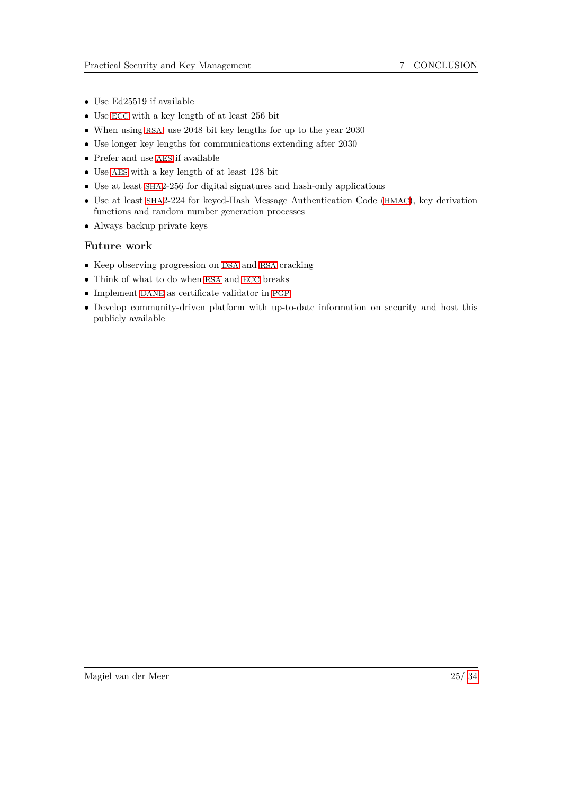- Use Ed25519 if available
- Use [ECC](#page-6-13) with a key length of at least 256 bit
- When using [RSA](#page-6-9), use 2048 bit key lengths for up to the year 2030
- Use longer key lengths for communications extending after 2030
- Prefer and use [AES](#page-6-2) if available
- Use [AES](#page-6-2) with a key length of at least 128 bit
- Use at least [SHA](#page-6-4)2-256 for digital signatures and hash-only applications
- Use at least [SHA](#page-6-4)2-224 for keyed-Hash Message Authentication Code ([HMAC](#page-6-57)), key derivation functions and random number generation processes
- Always backup private keys

## **Future work**

- Keep observing progression on [DSA](#page-6-10) and [RSA](#page-6-9) cracking
- Think of what to do when [RSA](#page-6-9) and [ECC](#page-6-13) breaks
- Implement [DANE](#page-6-48) as certificate validator in [PGP](#page-6-0)
- Develop community-driven platform with up-to-date information on security and host this publicly available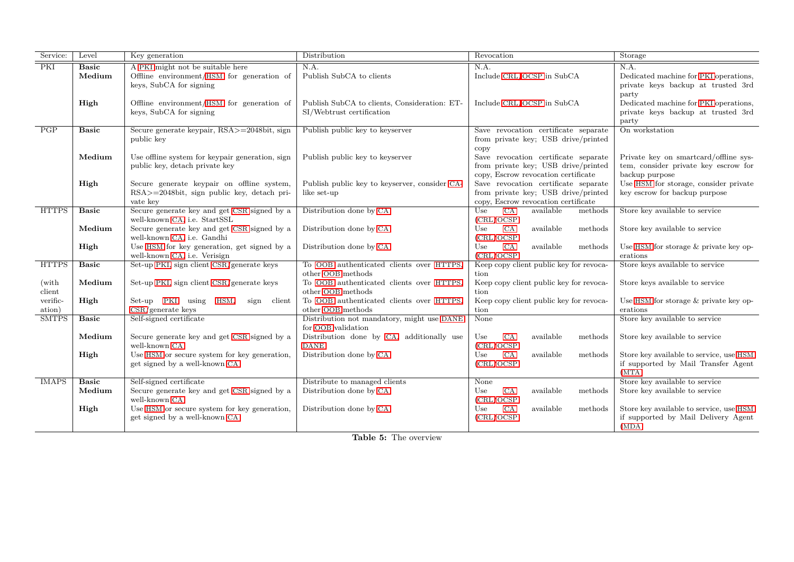<span id="page-26-0"></span>

| Service:     | Level        | Key generation                                                            | Distribution                                  | Revocation                                            | Storage                                      |
|--------------|--------------|---------------------------------------------------------------------------|-----------------------------------------------|-------------------------------------------------------|----------------------------------------------|
| PKI          | <b>Basic</b> | A PKI might not be suitable here                                          | N.A.                                          | N.A.                                                  | N.A.                                         |
|              | Medium       | Offline environment/HSM for generation of                                 | Publish SubCA to clients                      | Include CRL/OCSP in SubCA                             | Dedicated machine for PKI operations,        |
|              |              | keys, SubCA for signing                                                   |                                               |                                                       | private keys backup at trusted 3rd           |
|              |              |                                                                           |                                               |                                                       | party                                        |
|              | High         | Offline environment/HSM for generation of                                 | Publish SubCA to clients, Consideration: ET-  | Include CRL/OCSP in SubCA                             | Dedicated machine for PKI operations,        |
|              |              | keys, SubCA for signing                                                   | SI/Webtrust certification                     |                                                       | private keys backup at trusted 3rd           |
| PGP          | <b>Basic</b> | Secure generate keypair, RSA>=2048bit, sign                               | Publish public key to keyserver               | Save revocation certificate separate                  | party<br>On workstation                      |
|              |              | public key                                                                |                                               | from private key; USB drive/printed                   |                                              |
|              |              |                                                                           |                                               | copy                                                  |                                              |
|              | Medium       | Use offline system for keypair generation, sign                           | Publish public key to keyserver               | Save revocation certificate separate                  | Private key on smartcard/offline sys-        |
|              |              | public key, detach private key                                            |                                               | from private key; USB drive/printed                   | tem, consider private key escrow for         |
|              |              |                                                                           |                                               | copy, Escrow revocation certificate                   | backup purpose                               |
|              | High         | Secure generate keypair on offline system,                                | Publish public key to keyserver, consider CA- | Save revocation certificate separate                  | Use HSM for storage, consider private        |
|              |              | RSA>=2048bit, sign public key, detach pri-                                | like set-up                                   | from private key; USB drive/printed                   | key escrow for backup purpose                |
|              |              | vate key                                                                  |                                               | copy, Escrow revocation certificate                   |                                              |
| <b>HTTPS</b> | <b>Basic</b> | Secure generate key and get CSR signed by a                               | Distribution done by CA                       | CA<br>available<br>Use<br>methods                     | Store key available to service               |
|              |              | well-known CA, i.e. StartSSL                                              |                                               | (CRL/OCSP)                                            |                                              |
|              | Medium       | Secure generate key and get CSR signed by a                               | Distribution done by CA                       | CA<br>available<br>Use<br>methods                     | Store key available to service               |
|              |              | well-known CA, i.e. Gandhi                                                |                                               | (CRL/OCSP)                                            |                                              |
|              | High         | Use HSM for key generation, get signed by a                               | Distribution done by CA                       | CA<br>available<br>methods<br>Use                     | Use HSM for storage & private key op-        |
| <b>HTTPS</b> | <b>Basic</b> | well-known CA, i.e. Verisign<br>Set-up PKI, sign client CSR/generate keys | To OOB authenticated clients over HTTPS.      | (CRL/OCSP)<br>Keep copy client public key for revoca- | erations<br>Store keys available to service  |
|              |              |                                                                           | other OOB methods                             | tion                                                  |                                              |
| (with)       | Medium       | Set-up PKI, sign client $\rm{CSR}/\rm{generate}$ keys                     | To OOB authenticated clients over HTTPS,      | Keep copy client public key for revoca-               | Store keys available to service              |
| client       |              |                                                                           | other OOB methods                             | tion                                                  |                                              |
| verific-     | High         | Set-up PKI using<br>HSM,<br>client<br>sign                                | To OOB authenticated clients over HTTPS,      | Keep copy client public key for revoca-               | Use HSM for storage & private key op-        |
| ation)       |              | $CSR/generate$ keys                                                       | other OOB methods                             | tion                                                  | erations                                     |
| <b>SMTPS</b> | <b>Basic</b> | Self-signed certificate                                                   | Distribution not mandatory, might use DANE    | None                                                  | Store key available to service               |
|              |              |                                                                           | for OOB validation                            |                                                       |                                              |
|              | Medium       | Secure generate key and get CSR signed by a                               | Distribution done by CA, additionally use     | available<br>CA<br>methods<br>Use                     | Store key available to service               |
|              |              | well-known CA                                                             | <b>DANE</b>                                   | (CRL/OCSP)                                            |                                              |
|              | High         | Use HSM or secure system for key generation,                              | Distribution done by CA                       | available<br>Use<br>CA<br>methods                     | Store key available to service, use HSM      |
|              |              | get signed by a well-known CA                                             |                                               | (CRL/OCSP)                                            | if supported by Mail Transfer Agent<br>(MTA) |
| <b>IMAPS</b> | <b>Basic</b> | Self-signed certificate                                                   | Distribute to managed clients                 | None                                                  | Store key available to service               |
|              | Medium       | Secure generate key and get CSR signed by a                               | Distribution done by CA                       | available<br>Use<br>CA<br>methods                     | Store key available to service               |
|              |              | well-known CA                                                             |                                               | (CRL/OCSP)                                            |                                              |
|              | High         | Use HSM or secure system for key generation,                              | Distribution done by CA                       | CA<br>available<br>Use<br>methods                     | Store key available to service, use HSM      |
|              |              | get signed by a well-known CA                                             |                                               | (CRL/OCSP)                                            | if supported by Mail Delivery Agent          |
|              |              |                                                                           |                                               |                                                       | (MDA)                                        |

**Table 5:** The overview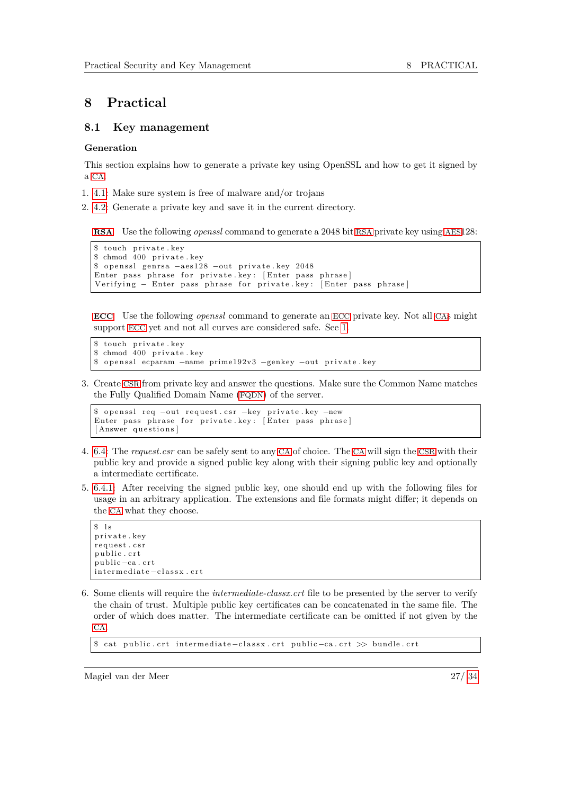# <span id="page-27-0"></span>**8 Practical**

#### <span id="page-27-1"></span>**8.1 Key management**

#### **Generation**

This section explains how to generate a private key using OpenSSL and how to get it signed by a [CA](#page-6-5).

- 1. [4.1:](#page-11-1) Make sure system is free of malware and/or trojans
- 2. [4.2:](#page-11-2) Generate a private key and save it in the current directory.

**[RSA](#page-6-9)** Use the following *openssl* command to generate a 2048 bit [RSA](#page-6-9) private key using [AES](#page-6-2)128:

```
touch private.key
$ chmod 400 private.key
$ openssl genrsa -aes128 -out private.key 2048
Enter pass phrase for private key: [Enter pass phrase]
Verifying − Enter pass phrase for private key: [Enter pass phrase]
```
**[ECC](#page-6-13)** Use the following *openssl* command to generate an [ECC](#page-6-13) private key. Not all [CA](#page-6-5)s might support [ECC](#page-6-13) yet and not all curves are considered safe. See [1.](#page-4-1)

```
$ touch private.key
$ chmod 400 private.key<br>$ openssl ecparam -\text{name}openssl ecparam –name prime192v3 –genkey –out private.key
```
3. Create [CSR](#page-6-45) from private key and answer the questions. Make sure the Common Name matches the Fully Qualified Domain Name ([FQDN](#page-6-69)) of the server.

```
$ openssl req −out request.csr −key private.key −new
Enter pass phrase for private key: [Enter pass phrase]
[Answer questions]
```
- 4. [6.4:](#page-19-1) The *request.csr* can be safely sent to any [CA](#page-6-5) of choice. The [CA](#page-6-5) will sign the [CSR](#page-6-45) with their public key and provide a signed public key along with their signing public key and optionally a intermediate certificate.
- 5. [6.4.1:](#page-20-4) After receiving the signed public key, one should end up with the following files for usage in an arbitrary application. The extensions and file formats might differ; it depends on the [CA](#page-6-5) what they choose.

```
$1sprivate.key
request.csr
public.crt
public-ca.crt
intermediate-classx.crt
```
6. Some clients will require the *intermediate-classx.crt* file to be presented by the server to verify the chain of trust. Multiple public key certificates can be concatenated in the same file. The order of which does matter. The intermediate certificate can be omitted if not given by the [CA](#page-6-5).

```
$ cat public.crt intermediate-classx.crt public-ca.crt >> bundle.crt
```
Magiel van der Meer 27/ [34](#page-34-0)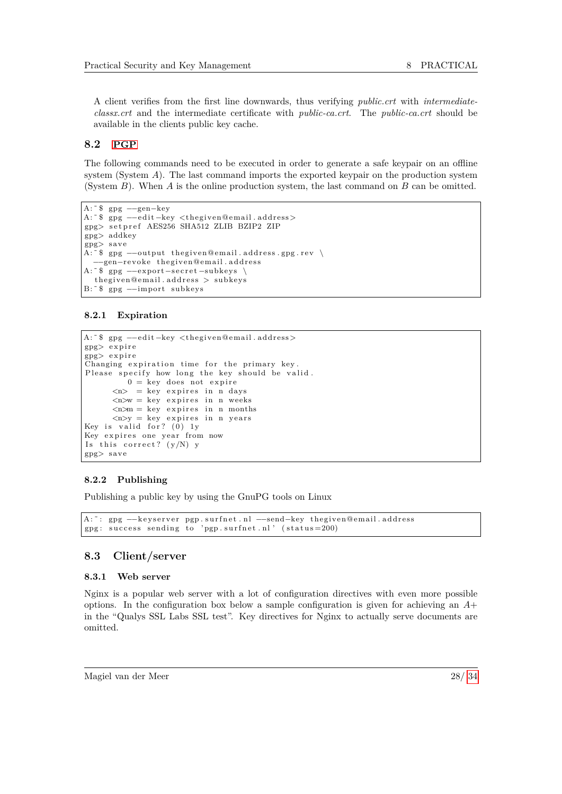A client verifies from the first line downwards, thus verifying *public.crt* with *intermediateclassx.crt* and the intermediate certificate with *public-ca.crt*. The *public-ca.crt* should be available in the clients public key cache.

#### <span id="page-28-0"></span>**8.2 [PGP](#page-6-0)**

The following commands need to be executed in order to generate a safe keypair on an offline system (System *A*). The last command imports the exported keypair on the production system (System *B*). When *A* is the online production system, the last command on *B* can be omitted.

```
A: <sup>~</sup> $ gpg —–gen–key
A: <sup>*</sup> $ gpg --edit-key <thegiven@email.address>
gpg> s e t p r e f AES256 SHA512 ZLIB BZIP2 ZIP
gpg> addkey
gpg> s a ve
A: \tilde{ }$ gpg --output the given@email.address.gpg.rev \
  −−gen−re v o ke the gi ven@em ail . a d d r e s s
A: ~$ gpg --export-secret-subkeys \
  the given@email.address > subkeys
B: <sup>*</sup> $ gpg --import subkeys
```
#### <span id="page-28-2"></span>**8.2.1 Expiration**

```
A: <sup>~</sup> $ gpg --edit -key <thegiven@email.address>
gpg> e x pi r e
gpg> e x pi r e
Changing expiration time for the primary key
Please specify how long the key should be valid.
          0 = \text{key does not expire}\langle n \rangle = key expires in n days
       \langle n \ranglew = key expires in n weeks
       \langle n \rangle m = key expires in n months
       \langle n \rangley = key expires in n years
Key is valid for? (0) ly
Key expires one year from now
Is this correct? (y/N) y
gpg> s a ve
```
#### <span id="page-28-3"></span>**8.2.2 Publishing**

Publishing a public key by using the GnuPG tools on Linux

```
A: ~: gpg --keyserver pgp.surfnet.nl --send-key thegiven@email.address
gpg: success sending to 'pgp.surfnet.nl' (\text{status}=200)
```
### <span id="page-28-1"></span>**8.3 Client/server**

#### <span id="page-28-4"></span>**8.3.1 Web server**

Nginx is a popular web server with a lot of configuration directives with even more possible options. In the configuration box below a sample configuration is given for achieving an *A*+ in the "Qualys SSL Labs SSL test". Key directives for Nginx to actually serve documents are omitted.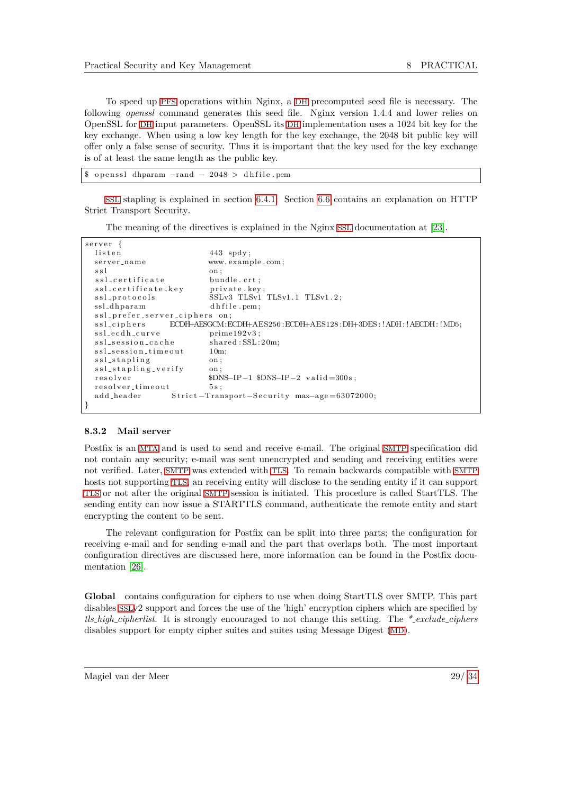To speed up [PFS](#page-6-22) operations within Nginx, a [DH](#page-6-6) precomputed seed file is necessary. The following *openssl* command generates this seed file. Nginx version 1.4.4 and lower relies on OpenSSL for [DH](#page-6-6) input parameters. OpenSSL its [DH](#page-6-6) implementation uses a 1024 bit key for the key exchange. When using a low key length for the key exchange, the 2048 bit public key will offer only a false sense of security. Thus it is important that the key used for the key exchange is of at least the same length as the public key.

| \$ openssl dhparam $-$ rand $-2048$ > dhfile.pem |
|--------------------------------------------------|
|--------------------------------------------------|

[SSL](#page-6-25) stapling is explained in section [6.4.1.](#page-21-3) Section [6.6](#page-21-1) contains an explanation on HTTP Strict Transport Security.

The meaning of the directives is explained in the Nginx [SSL](#page-6-25) documentation at [\[23\]](#page-34-8).

| server {                      |                                                                           |
|-------------------------------|---------------------------------------------------------------------------|
| listen                        | $443$ spdy;                                                               |
| server_name                   | www.example.com;                                                          |
| ssl                           | on;                                                                       |
| ssl_certificate               | bundle.crt;                                                               |
| ssl_certificate_key           | private.key;                                                              |
| ssl_protocols                 | SSLv3 TLSv1 TLSv1.1 TLSv1.2;                                              |
| ssl_dhparam                   | dhfile.pem;                                                               |
| ssl_prefer_server_ciphers on: |                                                                           |
|                               | ssl_ciphers ECDH+AESGCM:ECDH+AES256:ECDH+AES128:DH+3DES:!ADH:!AECDH:!MD5; |
| ssl_ecdh_curve                | $prime192v3$ :                                                            |
| ssl_session_cache             | shared: SSL:20m;                                                          |
| ssl_session_timeout           | $10m$ ;                                                                   |
| ssl_stapling                  | on :                                                                      |
| ssl_stapling_verify           | on :                                                                      |
| resolver                      | $SDNS-IP-1$ $SDNS-IP-2$ $valid=300s$ ;                                    |
| resolver_timeout              | 5s:                                                                       |
| add_header                    | Strict-Transport-Security max-age=63072000;                               |
|                               |                                                                           |

#### <span id="page-29-0"></span>**8.3.2 Mail server**

Postfix is an [MTA](#page-6-39) and is used to send and receive e-mail. The original [SMTP](#page-6-40) specification did not contain any security; e-mail was sent unencrypted and sending and receiving entities were not verified. Later, [SMTP](#page-6-40) was extended with [TLS](#page-6-24). To remain backwards compatible with [SMTP](#page-6-40) hosts not supporting [TLS](#page-6-24), an receiving entity will disclose to the sending entity if it can support [TLS](#page-6-24) or not after the original [SMTP](#page-6-40) session is initiated. This procedure is called StartTLS. The sending entity can now issue a STARTTLS command, authenticate the remote entity and start encrypting the content to be sent.

The relevant configuration for Postfix can be split into three parts; the configuration for receiving e-mail and for sending e-mail and the part that overlaps both. The most important configuration directives are discussed here, more information can be found in the Postfix documentation [\[26\]](#page-34-9).

**Global** contains configuration for ciphers to use when doing StartTLS over SMTP. This part disables [SSL](#page-6-25)v2 support and forces the use of the 'high' encryption ciphers which are specified by *tls high cipherlist*. It is strongly encouraged to not change this setting. The *\* exclude ciphers* disables support for empty cipher suites and suites using Message Digest ([MD](#page-6-43)).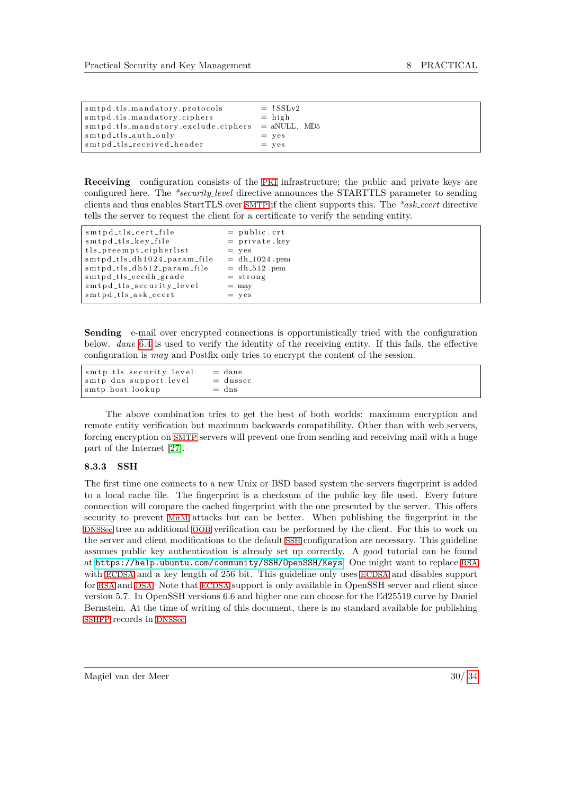| smtpd_tls_mandatory_protocols<br>smtpd_tls_mandatory_ciphers  <br>smtpd_tls_mandatory_exclude_ciphers  <br>smtpd_tls_auth_only_ | $=$ !SSLv2<br>$=$ high<br>$=$ aNULL, MD5<br>$=$ yes |
|---------------------------------------------------------------------------------------------------------------------------------|-----------------------------------------------------|
|                                                                                                                                 |                                                     |
| smtpd_tls_received_header                                                                                                       | $=$ yes                                             |

**Receiving** configuration consists of the [PKI](#page-6-51) infrastructure; the public and private keys are configured here. The *\*security level* directive announces the STARTTLS parameter to sending clients and thus enables StartTLS over [SMTP](#page-6-40) if the client supports this. The *\*ask ccert* directive tells the server to request the client for a certificate to verify the sending entity.

| smtpd_tls_cert_file         | $=$ public.crt                |
|-----------------------------|-------------------------------|
| smtpd_tls_key_file          | $=$ private. key              |
| tls_preempt_cipherlist      | $=$ yes                       |
| smtpd_tls_dh1024_param_file | $=$ dh <sub>-1024</sub> . pem |
| smtpd_tls_dh512_param_file  | $=$ dh <sub>-512</sub> . pem  |
| smtpd_tls_eecdh_grade       | $=$ strong                    |
| smtpd_tls_security_level    | $=$ may                       |
| smtpd_tls_ask_ccert         | $=$ yes                       |

**Sending** e-mail over encrypted connections is opportunistically tried with the configuration below. *dane* [6.4](#page-20-5) is used to verify the identity of the receiving entity. If this fails, the effective configuration is *may* and Postfix only tries to encrypt the content of the session.

| smtp_tls_security_level | $=$ dane   |
|-------------------------|------------|
| smtp_dns_support_level  | $=$ dnssec |
| smtp_host_lookup        | $=$ dns    |

The above combination tries to get the best of both worlds: maximum encryption and remote entity verification but maximum backwards compatibility. Other than with web servers, forcing encryption on [SMTP](#page-6-40) servers will prevent one from sending and receiving mail with a huge part of the Internet [\[27\]](#page-34-10).

#### <span id="page-30-0"></span>**8.3.3 SSH**

The first time one connects to a new Unix or BSD based system the servers fingerprint is added to a local cache file. The fingerprint is a checksum of the public key file used. Every future connection will compare the cached fingerprint with the one presented by the server. This offers security to prevent [MitM](#page-6-7) attacks but can be better. When publishing the fingerprint in the [DNSSec](#page-6-18) tree an additional [OOB](#page-6-34) verification can be performed by the client. For this to work on the server and client modifications to the default [SSH](#page-6-33) configuration are necessary. This guideline assumes public key authentication is already set up correctly. A good tutorial can be found at <https://help.ubuntu.com/community/SSH/OpenSSH/Keys>. One might want to replace [RSA](#page-6-9) with [ECDSA](#page-6-12) and a key length of 256 bit. This guideline only uses [ECDSA](#page-6-12) and disables support for [RSA](#page-6-9) and [DSA](#page-6-10). Note that [ECDSA](#page-6-12) support is only available in OpenSSH server and client since version 5.7. In OpenSSH versions 6.6 and higher one can choose for the Ed25519 curve by Daniel Bernstein. At the time of writing of this document, there is no standard available for publishing [SSHFP](#page-6-56) records in [DNSSec](#page-6-18).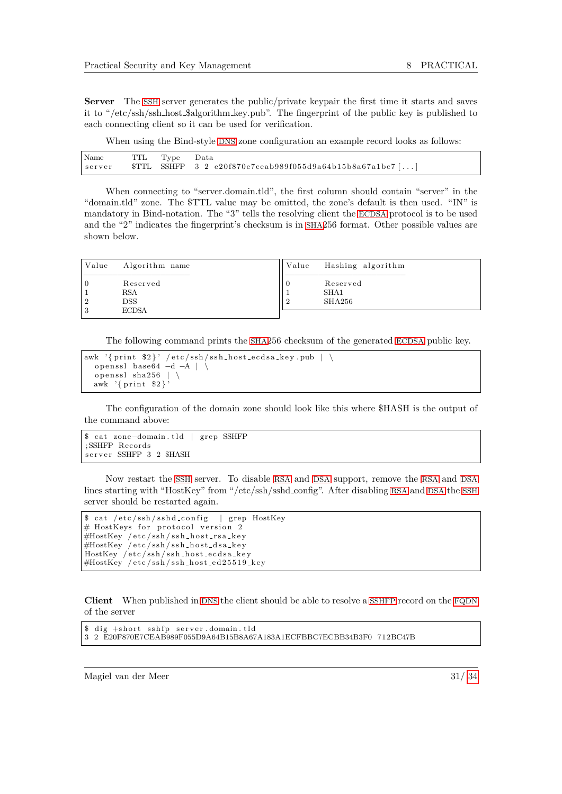Server The [SSH](#page-6-33) server generates the public/private keypair the first time it starts and saves it to "/etc/ssh/ssh host \$algorithm key.pub". The fingerprint of the public key is published to each connecting client so it can be used for verification.

When using the Bind-style [DNS](#page-6-49) zone configuration an example record looks as follows:

| Name<br>server |  | TTL Type Data | $STTL$ SSHFP 3 2 e20f870e7ceab989f055d9a64b15b8a67a1bc7[] |
|----------------|--|---------------|-----------------------------------------------------------|
|----------------|--|---------------|-----------------------------------------------------------|

When connecting to "server.domain.tld", the first column should contain "server" in the "domain.tld" zone. The \$TTL value may be omitted, the zone's default is then used. "IN" is mandatory in Bind-notation. The "3" tells the resolving client the [ECDSA](#page-6-12) protocol is to be used and the "2" indicates the fingerprint's checksum is in [SHA](#page-6-4)256 format. Other possible values are shown below.

| Value<br>Algorithm name                              | Value | Hashing algorithm          |
|------------------------------------------------------|-------|----------------------------|
| Reserved<br><b>RSA</b><br><b>DSS</b><br><b>ECDSA</b> |       | Reserved<br>SHA1<br>SHA256 |

The following command prints the [SHA](#page-6-4)256 checksum of the generated [ECDSA](#page-6-12) public key.

```
awk '{ print $2}' / etc/ssh/ssh_host_ecdsa_key.pub | \
  openssl base64 -A | \lambdaopenssl sha256 | \
  awk \{ \text{print } \$2 \}
```
The configuration of the domain zone should look like this where \$HASH is the output of the command above:

```
$ cat zone-domain. tld | grep SSHFP
; SSHFP Records
server SSHFP 3 2 $HASH
```
Now restart the [SSH](#page-6-33) server. To disable [RSA](#page-6-9) and [DSA](#page-6-10) support, remove the [RSA](#page-6-9) and [DSA](#page-6-10) lines starting with "HostKey" from "/etc/ssh/sshd config". After disabling [RSA](#page-6-9) and [DSA](#page-6-10) the [SSH](#page-6-33) server should be restarted again.

```
cat / etc / s sh / ss hd\_config | grep HostKey
# HostKeys for protocol version 2
#HostKey /etc/ssh/ssh_host_rsa_key
#HostKey /etc/ssh/ssh_host_dsa_key
HostKey / etc/ssh/ssh_host_ecdsa_key
#HostKey / etc/ssh/ssh_host_ed25519_key
```
**Client** When published in [DNS](#page-6-49) the client should be able to resolve a [SSHFP](#page-6-56) record on the [FQDN](#page-6-69) of the server

```
$ dig +short sshfp server.domain.tld
3 2 E20F870E7CEAB989F055D9A64B15B8A67A183A1ECFBBC7ECBB34B3F0 712BC47B
```
Magiel van der Meer 31/ [34](#page-34-0)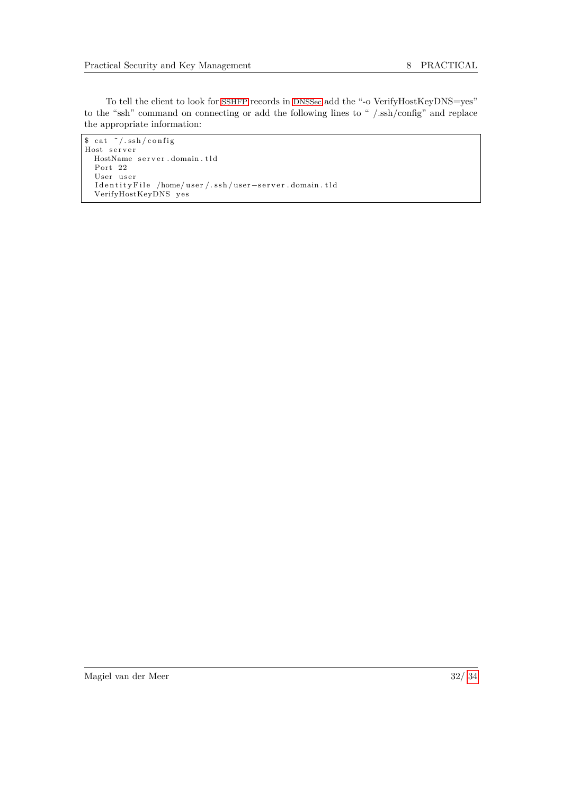To tell the client to look for [SSHFP](#page-6-56) records in [DNSSec](#page-6-18) add the "-o VerifyHostKeyDNS=yes" to the "ssh" command on connecting or add the following lines to " /.ssh/config" and replace the appropriate information:

<span id="page-32-0"></span> $s$  cat  $\tilde{\ }$  /.ssh/config Host server HostName server.domain.tld Port 22 User user IdentityFile /home/user/.ssh/user−server.domain.tld VerifyHostKeyDNS ye s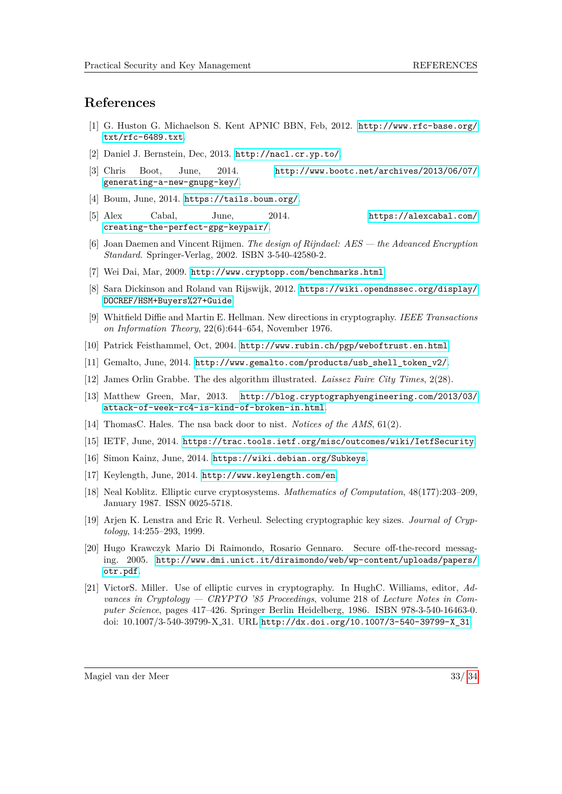## **References**

- <span id="page-33-17"></span>[1] G. Huston G. Michaelson S. Kent APNIC BBN, Feb, 2012. [http://www.rfc-base.org/](http://www.rfc-base.org/txt/rfc-6489.txt) [txt/rfc-6489.txt](http://www.rfc-base.org/txt/rfc-6489.txt).
- <span id="page-33-20"></span>[2] Daniel J. Bernstein, Dec, 2013. <http://nacl.cr.yp.to/>.
- <span id="page-33-15"></span>[3] Chris Boot, June, 2014. [http://www.bootc.net/archives/2013/06/07/](http://www.bootc.net/archives/2013/06/07/generating-a-new-gnupg-key/) [generating-a-new-gnupg-key/](http://www.bootc.net/archives/2013/06/07/generating-a-new-gnupg-key/).
- <span id="page-33-8"></span>[4] Boum, June, 2014. <https://tails.boum.org/>.
- <span id="page-33-13"></span>[5] Alex Cabal, June, 2014. [https://alexcabal.com/](https://alexcabal.com/creating-the-perfect-gpg-keypair/) [creating-the-perfect-gpg-keypair/](https://alexcabal.com/creating-the-perfect-gpg-keypair/).
- <span id="page-33-1"></span>[6] Joan Daemen and Vincent Rijmen. *The design of Rijndael: AES — the Advanced Encryption Standard*. Springer-Verlag, 2002. ISBN 3-540-42580-2.
- <span id="page-33-10"></span>[7] Wei Dai, Mar, 2009. <http://www.cryptopp.com/benchmarks.html>.
- <span id="page-33-16"></span>[8] Sara Dickinson and Roland van Rijswijk, 2012. [https://wiki.opendnssec.org/display/](https://wiki.opendnssec.org/display/DOCREF/HSM+Buyers%27+Guide) [DOCREF/HSM+Buyers%27+Guide](https://wiki.opendnssec.org/display/DOCREF/HSM+Buyers%27+Guide).
- <span id="page-33-2"></span>[9] Whitfield Diffie and Martin E. Hellman. New directions in cryptography. *IEEE Transactions on Information Theory*, 22(6):644–654, November 1976.
- <span id="page-33-18"></span>[10] Patrick Feisthammel, Oct, 2004. <http://www.rubin.ch/pgp/weboftrust.en.html>.
- <span id="page-33-9"></span>[11] Gemalto, June, 2014. [http://www.gemalto.com/products/usb\\_shell\\_token\\_v2/](http://www.gemalto.com/products/usb_shell_token_v2/).
- <span id="page-33-0"></span>[12] James Orlin Grabbe. The des algorithm illustrated. *Laissez Faire City Times*, 2(28).
- <span id="page-33-19"></span>[13] Matthew Green, Mar, 2013. [http://blog.cryptographyengineering.com/2013/03/](http://blog.cryptographyengineering.com/2013/03/attack-of-week-rc4-is-kind-of-broken-in.html) [attack-of-week-rc4-is-kind-of-broken-in.html](http://blog.cryptographyengineering.com/2013/03/attack-of-week-rc4-is-kind-of-broken-in.html).
- <span id="page-33-5"></span>[14] ThomasC. Hales. The nsa back door to nist. *Notices of the AMS*, 61(2).
- <span id="page-33-6"></span>[15] IETF, June, 2014. <https://trac.tools.ietf.org/misc/outcomes/wiki/IetfSecurity>.
- <span id="page-33-14"></span>[16] Simon Kainz, June, 2014. <https://wiki.debian.org/Subkeys>.
- <span id="page-33-12"></span>[17] Keylength, June, 2014. <http://www.keylength.com/en>.
- <span id="page-33-3"></span>[18] Neal Koblitz. Elliptic curve cryptosystems. *Mathematics of Computation*, 48(177):203–209, January 1987. ISSN 0025-5718.
- <span id="page-33-11"></span>[19] Arjen K. Lenstra and Eric R. Verheul. Selecting cryptographic key sizes. *Journal of Cryptology*, 14:255–293, 1999.
- <span id="page-33-7"></span>[20] Hugo Krawczyk Mario Di Raimondo, Rosario Gennaro. Secure off-the-record messaging. 2005. [http://www.dmi.unict.it/diraimondo/web/wp-content/uploads/papers/](http://www.dmi.unict.it/diraimondo/web/wp-content/uploads/papers/otr.pdf) [otr.pdf](http://www.dmi.unict.it/diraimondo/web/wp-content/uploads/papers/otr.pdf).
- <span id="page-33-4"></span>[21] VictorS. Miller. Use of elliptic curves in cryptography. In HughC. Williams, editor, *Advances in Cryptology — CRYPTO '85 Proceedings*, volume 218 of *Lecture Notes in Computer Science*, pages 417–426. Springer Berlin Heidelberg, 1986. ISBN 978-3-540-16463-0. doi: 10.1007/3-540-39799-X 31. URL [http://dx.doi.org/10.1007/3-540-39799-X\\_31](http://dx.doi.org/10.1007/3-540-39799-X_31).